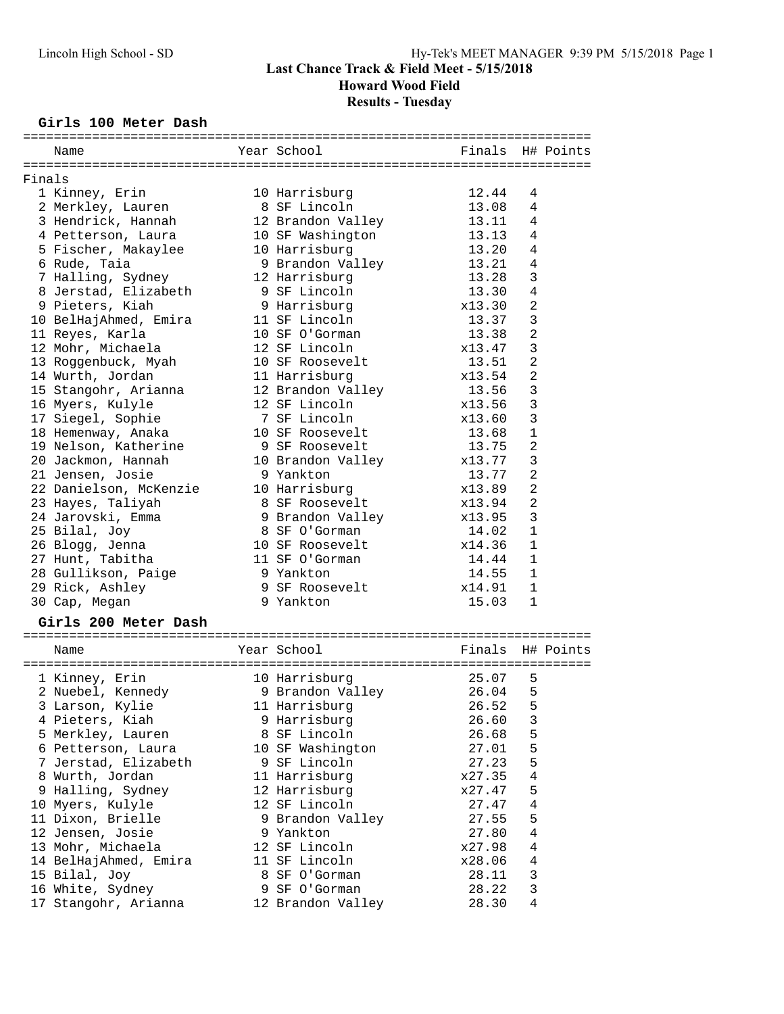# **Howard Wood Field**

# **Results - Tuesday**

#### **Girls 100 Meter Dash**

|        | Name                   | Year School       | Finals | H# Points               |
|--------|------------------------|-------------------|--------|-------------------------|
|        |                        |                   |        |                         |
| Finals |                        |                   |        |                         |
|        | 1 Kinney, Erin         | 10 Harrisburg     | 12.44  | 4                       |
|        | 2 Merkley, Lauren      | 8 SF Lincoln      | 13.08  | 4                       |
|        | 3 Hendrick, Hannah     | 12 Brandon Valley | 13.11  | 4                       |
|        | 4 Petterson, Laura     | 10 SF Washington  | 13.13  | 4                       |
|        | 5 Fischer, Makaylee    | 10 Harrisburg     | 13.20  | 4                       |
|        | 6 Rude, Taia           | 9 Brandon Valley  | 13.21  | $\overline{4}$          |
|        | 7 Halling, Sydney      | 12 Harrisburg     | 13.28  | 3                       |
|        | 8 Jerstad, Elizabeth   | 9 SF Lincoln      | 13.30  | $\overline{4}$          |
|        | 9 Pieters, Kiah        | 9 Harrisburg      | x13.30 | 2                       |
|        | 10 BelHajAhmed, Emira  | 11 SF Lincoln     | 13.37  | 3                       |
|        | 11 Reyes, Karla        | 10 SF O'Gorman    | 13.38  | 2                       |
|        | 12 Mohr, Michaela      | 12 SF Lincoln     | x13.47 | 3                       |
|        | 13 Roggenbuck, Myah    | 10 SF Roosevelt   | 13.51  | $\overline{a}$          |
|        | 14 Wurth, Jordan       | 11 Harrisburg     | x13.54 | $\overline{a}$          |
|        | 15 Stangohr, Arianna   | 12 Brandon Valley | 13.56  | 3                       |
|        | 16 Myers, Kulyle       | 12 SF Lincoln     | x13.56 | 3                       |
|        | 17 Siegel, Sophie      | 7 SF Lincoln      | x13.60 | 3                       |
|        | 18 Hemenway, Anaka     | 10 SF Roosevelt   | 13.68  | $\mathbf{1}$            |
|        | 19 Nelson, Katherine   | 9 SF Roosevelt    | 13.75  | $\overline{a}$          |
|        | 20 Jackmon, Hannah     | 10 Brandon Valley | x13.77 | 3                       |
|        | 21 Jensen, Josie       | 9 Yankton         | 13.77  | 2                       |
|        | 22 Danielson, McKenzie |                   | x13.89 | $\overline{\mathbf{c}}$ |
|        |                        | 10 Harrisburg     |        |                         |
|        | 23 Hayes, Taliyah      | 8 SF Roosevelt    | x13.94 | 2<br>3                  |
|        | 24 Jarovski, Emma      | 9 Brandon Valley  | x13.95 |                         |
|        | 25 Bilal, Joy          | 8 SF O'Gorman     | 14.02  | $\mathbf{1}$            |
|        | 26 Blogg, Jenna        | 10 SF Roosevelt   | x14.36 | 1                       |
|        | 27 Hunt, Tabitha       | 11 SF O'Gorman    | 14.44  | $\mathbf 1$             |
|        | 28 Gullikson, Paige    | 9 Yankton         | 14.55  | 1                       |
|        | 29 Rick, Ashley        | 9 SF Roosevelt    | x14.91 | 1                       |
|        | 30 Cap, Megan          | 9 Yankton         | 15.03  | $\mathbf{1}$            |
|        | Girls 200 Meter Dash   |                   |        |                         |
|        |                        |                   |        |                         |
|        | Name                   | Year School       | Finals | H# Points               |
|        |                        |                   |        |                         |
|        | 1 Kinney, Erin         | 10 Harrisburg     | 25.07  | 5                       |
|        | 2 Nuebel, Kennedy      | 9 Brandon Valley  | 26.04  | 5                       |
|        | 3 Larson, Kylie        | 11 Harrisburg     | 26.52  | 5                       |
|        | 4 Pieters, Kiah        | 9 Harrisburg      | 26.60  | 3                       |
|        | 5 Merkley, Lauren      | 8 SF Lincoln      | 26.68  | 5                       |
|        | 6 Petterson, Laura     | 10 SF Washington  | 27.01  | 5                       |
|        | 7 Jerstad, Elizabeth   | 9 SF Lincoln      | 27.23  | 5                       |
|        | 8 Wurth, Jordan        | 11 Harrisburg     | x27.35 | $\,4$                   |
|        | 9 Halling, Sydney      | 12 Harrisburg     | x27.47 | 5                       |
|        | 10 Myers, Kulyle       | 12 SF Lincoln     | 27.47  | 4                       |
|        | 11 Dixon, Brielle      | 9 Brandon Valley  | 27.55  | 5                       |
|        | 12 Jensen, Josie       | 9 Yankton         | 27.80  | 4                       |
|        | 13 Mohr, Michaela      | 12 SF Lincoln     | x27.98 | 4                       |
|        | 14 BelHajAhmed, Emira  | 11 SF Lincoln     | x28.06 | 4                       |
|        | 15 Bilal, Joy          | 8 SF O'Gorman     | 28.11  | 3                       |
|        | 16 White, Sydney       | 9 SF O'Gorman     | 28.22  | 3                       |
|        | 17 Stangohr, Arianna   | 12 Brandon Valley | 28.30  | 4                       |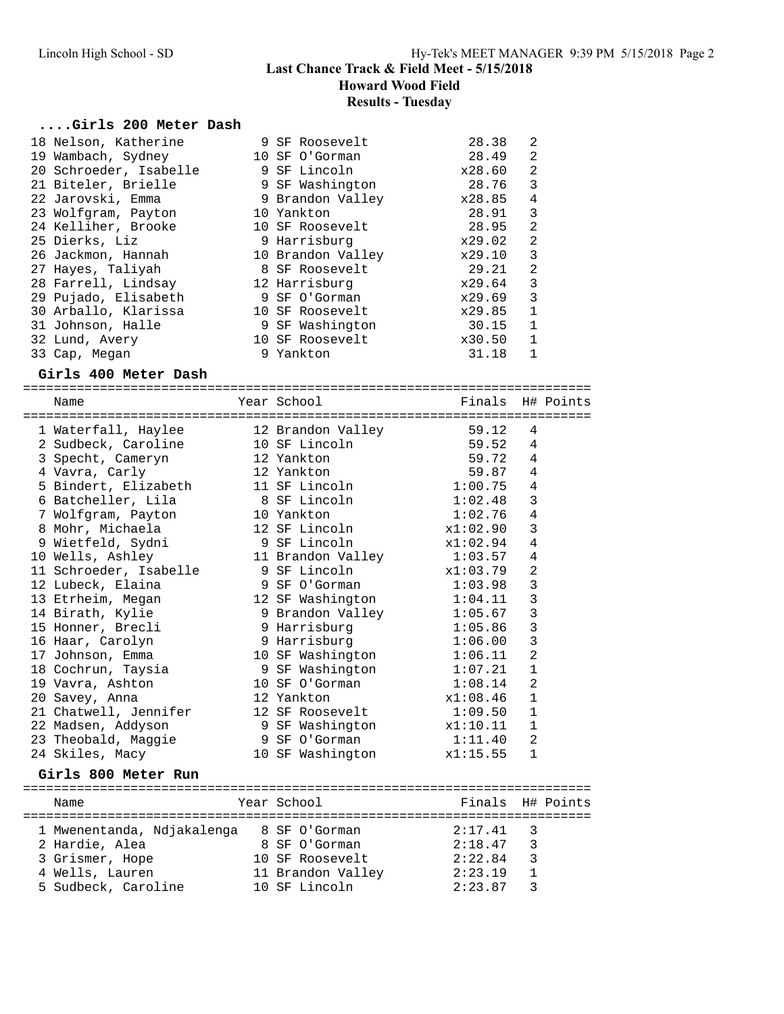**Howard Wood Field**

**Results - Tuesday**

# **....Girls 200 Meter Dash**

| 18 Nelson, Katherine                                  | 9 SF Roosevelt                                                                                                                                                     | 28.38                                | 2              |           |
|-------------------------------------------------------|--------------------------------------------------------------------------------------------------------------------------------------------------------------------|--------------------------------------|----------------|-----------|
| 19 Wambach, Sydney                                    | 10 SF O'Gorman                                                                                                                                                     | 28.49                                | $\overline{2}$ |           |
| 20 Schroeder, Isabelle                                | 9 SF Lincoln                                                                                                                                                       | x28.60                               | $\overline{2}$ |           |
| 21 Biteler, Brielle                                   | 9 SF Washington                                                                                                                                                    | 28.76                                | 3              |           |
| 22 Jarovski, Emma                                     | 9 Brandon Valley x28.85                                                                                                                                            |                                      | $\overline{4}$ |           |
| 23 Wolfgram, Payton                                   | 10 Yankton                                                                                                                                                         | 28.91                                | $\mathbf{3}$   |           |
| 24 Kelliher, Brooke                                   | 10 SF Roosevelt                                                                                                                                                    | 28.95                                | $\overline{2}$ |           |
| 25 Dierks, Liz                                        | 9 Harrisburg                                                                                                                                                       | x29.02                               | $\overline{2}$ |           |
| 26 Jackmon, Hannah                                    | 10 Brandon Valley                                                                                                                                                  | x29.10                               | $\mathbf{3}$   |           |
| 27 Hayes, Taliyah                                     | 8 SF Roosevelt                                                                                                                                                     | 29.21                                | $\overline{2}$ |           |
| 28 Farrell, Lindsay                                   | 12 Harrisburg                                                                                                                                                      |                                      | $\overline{3}$ |           |
| 29 Pujado, Elisabeth                                  | 9 SF O'Gorman                                                                                                                                                      | x29.64<br>x29.69<br>x29.85<br>x29.69 | 3              |           |
| 30 Arballo, Klarissa                                  | 10 SF Roosevelt                                                                                                                                                    |                                      | 1              |           |
| 31 Johnson, Halle                                     | 9 SF Washington                                                                                                                                                    | 30.15                                | 1              |           |
| 32 Lund, Avery                                        | 10 SF Roosevelt                                                                                                                                                    | x30.50                               | 1              |           |
| 33 Cap, Megan                                         | 9 Yankton                                                                                                                                                          | 31.18                                | 1              |           |
|                                                       |                                                                                                                                                                    |                                      |                |           |
| Girls 400 Meter Dash                                  |                                                                                                                                                                    |                                      |                |           |
| Name                                                  | Year School extended to the School                                                                                                                                 | Finals H# Points                     |                |           |
|                                                       |                                                                                                                                                                    |                                      |                |           |
| 1 Waterfall, Haylee 12 Brandon Valley 59.12           |                                                                                                                                                                    |                                      | 4              |           |
| 2 Sudbeck, Caroline                                   |                                                                                                                                                                    |                                      | 4              |           |
|                                                       | 10 SF Lincoln<br>12 Yankton                                                                                                                                        | 59.52<br>59.72 4                     |                |           |
| 3 Specht, Cameryn<br>4 Vavra, Carly<br>4 Vavra, Carly | 12 Yankton                                                                                                                                                         | $59.87$ 4                            |                |           |
| 4 vavra, carry<br>5 Bindert, Elizabeth                | 11 SF Lincoln                                                                                                                                                      | $1:00.75$ 4                          |                |           |
| 6 Batcheller, Lila                                    | 8 SF Lincoln 1:02.48                                                                                                                                               |                                      | 3              |           |
|                                                       |                                                                                                                                                                    |                                      | $\overline{4}$ |           |
| 7 Wolfgram, Payton                                    | 10 Yankton<br>12 SF Lincoln                                                                                                                                        | 1:02.76                              | $\mathbf{3}$   |           |
| 8 Mohr, Michaela                                      | 9 SF Lincoln                                                                                                                                                       | x1:02.90                             | $\overline{4}$ |           |
| 9 Wietfeld, Sydni                                     |                                                                                                                                                                    | x1:02.94<br>1:03.57                  |                |           |
| 10 Wells, Ashley                                      | 11 Brandon Valley<br>$\label{eq:2.1} \frac{d\mathbf{r}}{dt} = \frac{1}{2} \sum_{i=1}^n \frac{d\mathbf{r}}{dt} \mathbf{r}_i \mathbf{r}_i \mathbf{r}_i \mathbf{r}_i$ |                                      | $\overline{4}$ |           |
| 11 Schroeder, Isabelle                                | 9 SF Lincoln                                                                                                                                                       | x1:03.79                             | $\overline{2}$ |           |
| 12 Lubeck, Elaina                                     | 9 SF O'Gorman                                                                                                                                                      | 1:03.98                              | 3              |           |
| 13 Etrheim, Megan                                     | 12 SF Washington                                                                                                                                                   | 1:04.11                              | 3              |           |
| 14 Birath, Kylie                                      | 9 Brandon Valley                                                                                                                                                   | 1:05.67                              | $\mathbf{3}$   |           |
| 14 Diraci,<br>15 Honner, Brecli<br>11 Marc Carolyn    | 9 Harrisburg                                                                                                                                                       | 1:05.86                              | $\overline{3}$ |           |
| 16 Haar, Carolyn                                      | 9 Harrisburg                                                                                                                                                       | 1:06.00                              | $\overline{3}$ |           |
| 17 Johnson, Emma                                      | 10 SF Washington 1:06.11                                                                                                                                           |                                      | 2              |           |
| 18 Cochrun, Taysia                                    | 9 SF Washington 1:07.21                                                                                                                                            |                                      | $\mathbf{1}$   |           |
| 19 Vavra, Ashton                                      | 10 SF O'Gorman 1:08.14                                                                                                                                             |                                      | $\overline{2}$ |           |
| 20 Savey, Anna                                        | 12 Yankton                                                                                                                                                         | x1:08.46                             | $\mathbf{1}$   |           |
| 21 Chatwell, Jennifer                                 | 12 SF Roosevelt                                                                                                                                                    | 1:09.50 1                            |                |           |
| 22 Madsen, Addyson                                    | 9 SF Washington                                                                                                                                                    | x1:10.11                             | 1              |           |
| 23 Theobald, Maggie                                   | 9 SF O'Gorman                                                                                                                                                      | 1:11.40                              | 2              |           |
| 24 Skiles, Macy                                       | 10 SF Washington                                                                                                                                                   | x1:15.55                             | 1              |           |
| Girls 800 Meter Run                                   |                                                                                                                                                                    |                                      |                |           |
|                                                       |                                                                                                                                                                    |                                      |                |           |
| Name                                                  | Year School                                                                                                                                                        | Finals                               |                | H# Points |
| 1 Mwenentanda, Ndjakalenga 8 SF O'Gorman              |                                                                                                                                                                    | 2:17.41                              | 3              |           |
| 2 Hardie, Alea                                        | 8 SF O'Gorman                                                                                                                                                      | 2:18.47                              | 3              |           |
| 3 Grismer, Hope                                       | 10 SF Roosevelt                                                                                                                                                    | 2:22.84                              | 3              |           |
| 4 Wells, Lauren                                       | 11 Brandon Valley                                                                                                                                                  | 2:23.19                              | $\mathbf{1}$   |           |
| 5 Sudbeck, Caroline                                   | 10 SF Lincoln                                                                                                                                                      | 2:23.87                              | 3              |           |
|                                                       |                                                                                                                                                                    |                                      |                |           |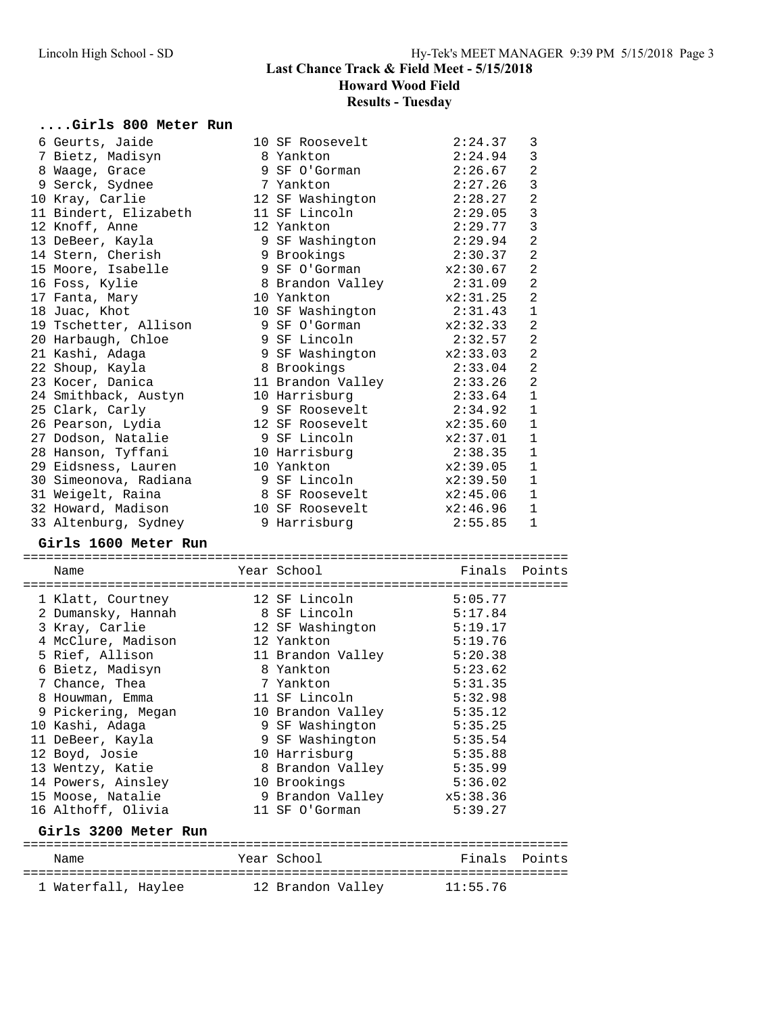**Howard Wood Field**

**Results - Tuesday**

## **....Girls 800 Meter Run**

| 6 Geurts, Jaide                                    | 10 SF Roosevelt                  | 2:24.37            | 3              |
|----------------------------------------------------|----------------------------------|--------------------|----------------|
| 7 Bietz, Madisyn                                   | 8 Yankton                        | 2:24.94            | 3              |
| 8 Waage, Grace                                     | 9 SF O'Gorman                    | 2:26.67            | $\overline{a}$ |
| 9 Serck, Sydnee                                    | 7 Yankton                        | 2:27.26            | 3              |
| 10 Kray, Carlie                                    | 12 SF Washington                 | 2:28.27            | $\overline{a}$ |
| 11 Bindert, Elizabeth                              | 11 SF Lincoln                    | 2:29.05            | $\mathbf{3}$   |
| 12 Knoff, Anne                                     | 12 Yankton                       | 2:29.77            | 3              |
| 13 DeBeer, Kayla                                   | 9 SF Washington                  | 2:29.94            | $\overline{a}$ |
| 14 Stern, Cherish                                  | 9 Brookings                      | 2:30.37            | $\overline{a}$ |
| 15 Moore, Isabelle                                 | 9 SF O'Gorman                    | x2:30.67           | $\overline{2}$ |
| 16 Foss, Kylie                                     | 8 Brandon Valley                 | 2:31.09            | $\overline{2}$ |
| 17 Fanta, Mary                                     | 10 Yankton                       | x2:31.25           | $\overline{a}$ |
| 18 Juac, Khot                                      | 10 SF Washington                 | 2:31.43            | $\mathbf{1}$   |
| 19 Tschetter, Allison                              | 9 SF O'Gorman                    | x2:32.33           | $\overline{2}$ |
| 20 Harbaugh, Chloe                                 | 9 SF Lincoln                     | 2:32.57            | $\overline{2}$ |
| 21 Kashi, Adaga                                    | 9 SF Washington x2:33.03         |                    | $\overline{2}$ |
| 22 Shoup, Kayla                                    | 8 Brookings                      | 2:33.04            | $\overline{2}$ |
| 23 Kocer, Danica                                   | 8 Brookings<br>11 Brandon Valley | 2:33.26            | $\overline{2}$ |
| 24 Smithback, Austyn                               | 10 Harrisburg                    | 2:33.64            | $\mathbf{1}$   |
| 25 Clark, Carly                                    | 9 SF Roosevelt                   | 2:34.92            | $\mathbf{1}$   |
| 26 Pearson, Lydia                                  | 12 SF Roosevelt                  | x2:35.60           | $\mathbf{1}$   |
| 27 Dodson, Natalie                                 | 9 SF Lincoln                     | x2:37.01           | 1              |
| 28 Hanson, Tyffani                                 | 10 Harrisburg                    | 2:38.35            | $\mathbf{1}$   |
| 29 Eidsness, Lauren                                | 10 Yankton                       | x2:39.05           | $\mathbf{1}$   |
| 30 Simeonova, Radiana                              | 9 SF Lincoln                     | x2:39.50           | 1              |
| 31 Weigelt, Raina                                  | 8 SF Roosevelt                   | x2:45.06           | 1              |
| 32 Howard, Madison                                 | 10 SF Roosevelt                  | x2:46.96           | $\mathbf{1}$   |
| 33 Altenburg, Sydney                               | 9 Harrisburg                     | 2:55.85            | $\mathbf 1$    |
|                                                    |                                  |                    |                |
|                                                    |                                  |                    |                |
| Girls 1600 Meter Run                               |                                  |                    |                |
| Name                                               | Year School                      | Finals             | Points         |
|                                                    |                                  |                    |                |
| 1 Klatt, Courtney                                  | 12 SF Lincoln                    |                    |                |
| 2 Dumansky, Hannah                                 |                                  | 5:05.77<br>5:17.84 |                |
| 3 Kray, Carlie                                     | 8 SF Lincoln                     | 5:19.17            |                |
|                                                    | 12 SF Washington<br>12 Yankton   | 5:19.76            |                |
| 3 Arty, -<br>4 McClure, Madison<br>5 Rief, Allison | 11 Brandon Valley                | 5:20.38            |                |
| 6 Bietz, Madisyn                                   | 8 Yankton                        | 5:23.62            |                |
| 7 Chance, Thea                                     | 7 Yankton                        | 5:31.35            |                |
| 8 Houwman, Emma                                    | 11 SF Lincoln                    | 5:32.98            |                |
| 9 Pickering, Megan                                 | 10 Brandon Valley 5:35.12        |                    |                |
| 10 Kashi, Adaga                                    | 9 SF Washington                  | 5:35.25            |                |
| 11 DeBeer, Kayla                                   | 9 SF Washington                  | 5:35.54            |                |
| 12 Boyd, Josie                                     | 10 Harrisburg                    | 5:35.88            |                |
| 13 Wentzy, Katie                                   | 8 Brandon Valley                 | 5:35.99            |                |
| 14 Powers, Ainsley                                 | 10 Brookings                     | 5:36.02            |                |
| 15 Moose, Natalie                                  | 9 Brandon Valley                 | x5:38.36           |                |
| 16 Althoff, Olivia                                 | 11 SF O'Gorman                   | 5:39.27            |                |
|                                                    |                                  |                    |                |
| Girls 3200 Meter Run                               |                                  |                    |                |
| Name                                               | Year School                      | Finals Points      |                |
| 1 Waterfall, Haylee                                | 12 Brandon Valley                | 11:55.76           |                |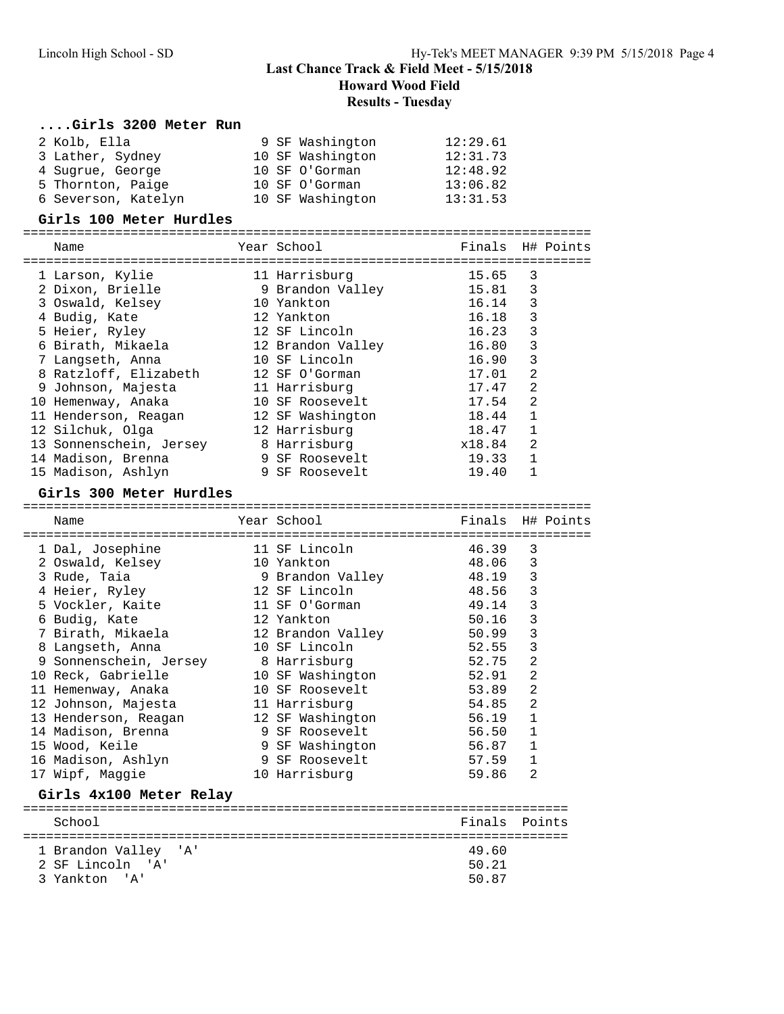**Howard Wood Field**

#### **Results - Tuesday**

#### **....Girls 3200 Meter Run**

| 2 Kolb, Ella        | 9 SF Washington  | 12:29.61 |
|---------------------|------------------|----------|
| 3 Lather, Sydney    | 10 SF Washington | 12:31.73 |
| 4 Sugrue, George    | 10 SF O'Gorman   | 12:48.92 |
| 5 Thornton, Paige   | 10 SF O'Gorman   | 13:06.82 |
| 6 Severson, Katelyn | 10 SF Washington | 13:31.53 |

#### **Girls 100 Meter Hurdles**

| Name                    | Year School       | Finals H# Points |                |  |
|-------------------------|-------------------|------------------|----------------|--|
| 1 Larson, Kylie         | 11 Harrisburg     | 15.65            | 3              |  |
| 2 Dixon, Brielle        | 9 Brandon Valley  | 15.81            | 3              |  |
| 3 Oswald, Kelsey        | 10 Yankton        | 16.14            | 3              |  |
| 4 Budig, Kate           | 12 Yankton        | 16.18            | 3              |  |
| 5 Heier, Ryley          | 12 SF Lincoln     | 16.23            | 3              |  |
| 6 Birath, Mikaela       | 12 Brandon Valley | 16.80            | 3              |  |
| 7 Langseth, Anna        | 10 SF Lincoln     | 16.90            | 3              |  |
| 8 Ratzloff, Elizabeth   | 12 SF O'Gorman    | 17.01            | $\mathfrak{D}$ |  |
| 9 Johnson, Majesta      | 11 Harrisburg     | 17.47            | 2              |  |
| 10 Hemenway, Anaka      | 10 SF Roosevelt   | 17.54            | 2              |  |
| 11 Henderson, Reagan    | 12 SF Washington  | 18.44            | 1              |  |
| 12 Silchuk, Olga        | 12 Harrisburg     | 18.47            | $\mathbf{1}$   |  |
| 13 Sonnenschein, Jersey | 8 Harrisburg      | x18.84           | 2              |  |
| 14 Madison, Brenna      | 9 SF Roosevelt    | 19.33            |                |  |
| 15 Madison, Ashlyn      | 9 SF Roosevelt    | 19.40            |                |  |

==========================================================================

#### **Girls 300 Meter Hurdles**

3 Yankton 'A'

========================================================================== Name Year School Finals H# Points ========================================================================== 1 Dal, Josephine 11 SF Lincoln 46.39 3 2 Oswald, Kelsey 10 Yankton 48.06 3 3 Rude, Taia 9 Brandon Valley 48.19 3 4 Heier, Ryley 12 SF Lincoln 48.56 3 5 Vockler, Kaite 11 SF O'Gorman 49.14 3 6 Budig, Kate 12 Yankton 50.16 3 7 Birath, Mikaela 12 Brandon Valley 50.99 3 8 Langseth, Anna 10 SF Lincoln 52.55 3 9 Sonnenschein, Jersey 8 Harrisburg 52.75 2 10 Reck, Gabrielle 10 SF Washington 52.91 2 11 Hemenway, Anaka 10 SF Roosevelt 53.89 2 12 Johnson, Majesta 11 Harrisburg 54.85 2 13 Henderson, Reagan 12 SF Washington 56.19 1 14 Madison, Brenna 9 SF Roosevelt 56.50 1 15 Wood, Keile 9 SF Washington 56.87 1 16 Madison, Ashlyn 9 SF Roosevelt 57.59 1 17 Wipf, Maggie 10 Harrisburg 59.86 2 **Girls 4x100 Meter Relay** ======================================================================= School **Finals** Points ======================================================================= 1 Brandon Valley 'A' 49.60 2 SF Lincoln 'A' 50.21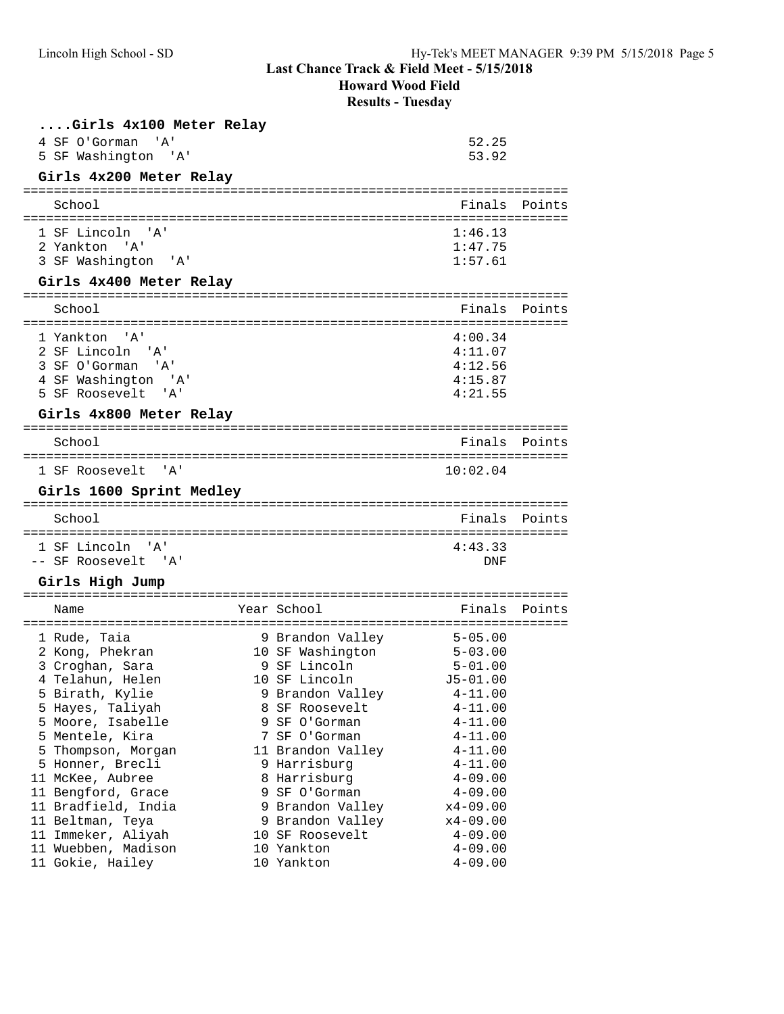**Howard Wood Field**

**Results - Tuesday**

| Girls 4x100 Meter Relay     |               |        |
|-----------------------------|---------------|--------|
| 4 SF O'Gorman<br><b>A</b> ' | 52.25         |        |
| 5 SF Washington 'A'         | 53.92         |        |
| Girls 4x200 Meter Relay     |               |        |
| School                      | Finals        | Points |
| 1 SF Lincoln 'A'            | 1:46.13       |        |
| 2 Yankton 'A'               | 1:47.75       |        |
| 3 SF Washington<br>" A '    | 1:57.61       |        |
| Girls 4x400 Meter Relay     |               |        |
| School                      | Finals Points |        |
| 1 Yankton 'A'               | 4:00.34       |        |
| 2 SF Lincoln 'A'            | 4:11.07       |        |
| 3 SF O'Gorman 'A'           | 4:12.56       |        |
| 4 SF Washington 'A'         | 4:15.87       |        |
| 5 SF Roosevelt 'A'          | 4:21.55       |        |

# **Girls 4x800 Meter Relay**

| School             |  | Finals Points |  |
|--------------------|--|---------------|--|
| 1 SF Roosevelt 'A' |  | 10:02.04      |  |

## **Girls 1600 Sprint Medley**

| School              | Finals Points |  |
|---------------------|---------------|--|
|                     |               |  |
| 1 SF Lincoln 'A'    | 4:43.33       |  |
| -- SF Roosevelt 'A' | DNF           |  |

## **Girls High Jump**

| Name                |  | Finals                                                                                                                                                                                                                                                                           | Points                                |
|---------------------|--|----------------------------------------------------------------------------------------------------------------------------------------------------------------------------------------------------------------------------------------------------------------------------------|---------------------------------------|
| 1 Rude, Taia        |  | $5 - 05.00$                                                                                                                                                                                                                                                                      |                                       |
| 2 Kong, Phekran     |  | $5 - 03.00$                                                                                                                                                                                                                                                                      |                                       |
| 3 Croghan, Sara     |  | $5 - 01.00$                                                                                                                                                                                                                                                                      |                                       |
| 4 Telahun, Helen    |  | $J5 - 01.00$                                                                                                                                                                                                                                                                     |                                       |
| 5 Birath, Kylie     |  | $4 - 11.00$                                                                                                                                                                                                                                                                      |                                       |
| 5 Hayes, Taliyah    |  | $4 - 11.00$                                                                                                                                                                                                                                                                      |                                       |
| 5 Moore, Isabelle   |  | $4 - 11.00$                                                                                                                                                                                                                                                                      |                                       |
| 5 Mentele, Kira     |  | 4-11.00                                                                                                                                                                                                                                                                          |                                       |
| 5 Thompson, Morgan  |  | $4 - 11.00$                                                                                                                                                                                                                                                                      |                                       |
| 5 Honner, Brecli    |  | $4 - 11.00$                                                                                                                                                                                                                                                                      |                                       |
| 11 McKee, Aubree    |  | $4 - 09.00$                                                                                                                                                                                                                                                                      |                                       |
| 11 Bengford, Grace  |  | $4 - 09.00$                                                                                                                                                                                                                                                                      |                                       |
| 11 Bradfield, India |  | $x4-09.00$                                                                                                                                                                                                                                                                       |                                       |
| 11 Beltman, Teya    |  | $x4-09.00$                                                                                                                                                                                                                                                                       |                                       |
| 11 Immeker, Aliyah  |  | $4 - 09.00$                                                                                                                                                                                                                                                                      |                                       |
| 11 Wuebben, Madison |  | $4 - 09.00$                                                                                                                                                                                                                                                                      |                                       |
| 11 Gokie, Hailey    |  | $4 - 09.00$                                                                                                                                                                                                                                                                      |                                       |
|                     |  | Year School<br>9 Brandon Valley<br>10 SF Washington<br>9 SF Lincoln<br>10 SF Lincoln<br>9 Brandon Valley<br>8 SF Roosevelt<br>9 SF O'Gorman<br>7 SF O'Gorman<br>9 Harrisburg<br>8 Harrisburg<br>9 SF O'Gorman<br>9 Brandon Valley<br>10 SF Roosevelt<br>10 Yankton<br>10 Yankton | 11 Brandon Valley<br>9 Brandon Valley |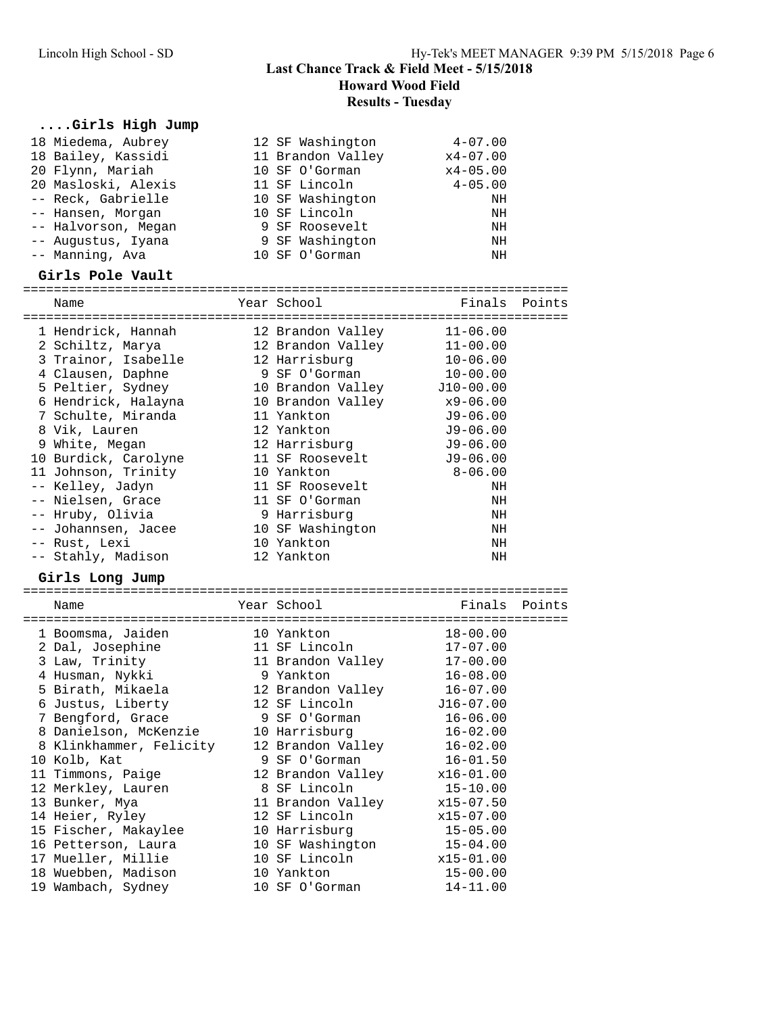**Howard Wood Field Results - Tuesday**

# **....Girls High Jump**

| 18 Miedema, Aubrey<br>18 Bailey, Kassidi<br>20 Flynn, Mariah<br>20 Masloski, Alexis<br>-- Reck, Gabrielle<br>-- Hansen, Morgan                                                                                                                                                                                                                                                       | 12 SF Washington<br>11 Brandon Valley<br>10 SF O'Gorman<br>11 SF Lincoln<br>10 SF Washington<br>10 SF Lincoln                                                                                                                                                                                         | $4 - 07.00$<br>$x4 - 07.00$<br>$x4 - 05.00$<br>$4 - 05.00$<br>ΝH<br>ΝH                                                                                                                                       |  |
|--------------------------------------------------------------------------------------------------------------------------------------------------------------------------------------------------------------------------------------------------------------------------------------------------------------------------------------------------------------------------------------|-------------------------------------------------------------------------------------------------------------------------------------------------------------------------------------------------------------------------------------------------------------------------------------------------------|--------------------------------------------------------------------------------------------------------------------------------------------------------------------------------------------------------------|--|
| -- Halvorson, Megan<br>-- Augustus, Iyana<br>-- Manning, Ava                                                                                                                                                                                                                                                                                                                         | 9 SF Roosevelt<br>9 SF Washington<br>10 SF O'Gorman                                                                                                                                                                                                                                                   | ΝH<br>NH<br>ΝH                                                                                                                                                                                               |  |
| Girls Pole Vault                                                                                                                                                                                                                                                                                                                                                                     |                                                                                                                                                                                                                                                                                                       |                                                                                                                                                                                                              |  |
| Name                                                                                                                                                                                                                                                                                                                                                                                 | Year School                                                                                                                                                                                                                                                                                           | Finals Points                                                                                                                                                                                                |  |
|                                                                                                                                                                                                                                                                                                                                                                                      |                                                                                                                                                                                                                                                                                                       |                                                                                                                                                                                                              |  |
| 1 Hendrick, Hannah<br>2 Schiltz, Marya<br>3 Trainor, Isabelle<br>4 Clausen, Daphne<br>5 Peltier, Sydney<br>6 Hendrick, Halayna<br>7 Schulte, Miranda<br>8 Vik, Lauren<br>9 White, Megan<br>10 Burdick, Carolyne<br>11 Johnson, Trinity<br>-- Kelley, Jadyn<br>-- Nielsen, Grace<br>-- Hruby, Olivia<br>-- Johannsen, Jacee<br>-- Rust, Lexi<br>-- Stahly, Madison<br>Girls Long Jump | 12 Brandon Valley<br>12 Brandon Valley<br>12 Harrisburg<br>9 SF O'Gorman<br>10 Brandon Valley<br>10 Brandon Valley<br>11 Yankton<br>12 Yankton<br>12 Harrisburg<br>11 SF Roosevelt<br>10 Yankton<br>11 SF Roosevelt<br>11 SF O'Gorman<br>9 Harrisburg<br>10 SF Washington<br>10 Yankton<br>12 Yankton | $11 - 06.00$<br>$11 - 00.00$<br>$10 - 06.00$<br>$10 - 00.00$<br>$J10-00.00$<br>$x9 - 06.00$<br>$J9-06.00$<br>$J9 - 06.00$<br>$J9 - 06.00$<br>$J9 - 06.00$<br>$8 - 06.00$<br>NH<br>NH<br>ΝH<br>NH<br>NH<br>NH |  |
|                                                                                                                                                                                                                                                                                                                                                                                      |                                                                                                                                                                                                                                                                                                       |                                                                                                                                                                                                              |  |
| Name                                                                                                                                                                                                                                                                                                                                                                                 | Year School                                                                                                                                                                                                                                                                                           | Finals Points                                                                                                                                                                                                |  |
| 1 Boomsma, Jaiden<br>2 Dal, Josephine<br>3 Law, Trinity                                                                                                                                                                                                                                                                                                                              | 10 Yankton<br>11 SF Lincoln<br>11 Brandon Valley                                                                                                                                                                                                                                                      | $18 - 00.00$<br>$17 - 07.00$<br>$17 - 00.00$                                                                                                                                                                 |  |
| 4 Husman, Nykki<br>5 Birath, Mikaela<br>6 Justus, Liberty                                                                                                                                                                                                                                                                                                                            | 9 Yankton<br>12 Brandon Valley<br>12 SF Lincoln                                                                                                                                                                                                                                                       | $16 - 08.00$<br>$16 - 07.00$<br>$J16 - 07.00$                                                                                                                                                                |  |
| 7 Bengford, Grace<br>8 Danielson, McKenzie<br>8 Klinkhammer, Felicity<br>10 Kolb, Kat                                                                                                                                                                                                                                                                                                | 9 SF O'Gorman<br>10 Harrisburg<br>12 Brandon Valley<br>9 SF O'Gorman                                                                                                                                                                                                                                  | $16 - 06.00$<br>$16 - 02.00$<br>$16 - 02.00$<br>$16 - 01.50$                                                                                                                                                 |  |
| 11 Timmons, Paige<br>12 Merkley, Lauren<br>13 Bunker, Mya<br>14 Heier, Ryley                                                                                                                                                                                                                                                                                                         | 12 Brandon Valley<br>8 SF Lincoln<br>11 Brandon Valley<br>12 SF Lincoln                                                                                                                                                                                                                               | $x16 - 01.00$<br>$15 - 10.00$<br>x15-07.50<br>$x15 - 07.00$                                                                                                                                                  |  |
| 15 Fischer, Makaylee<br>16 Petterson, Laura<br>17 Mueller, Millie<br>18 Wuebben, Madison                                                                                                                                                                                                                                                                                             | 10 Harrisburg<br>10 SF Washington<br>10 SF Lincoln<br>10 Yankton                                                                                                                                                                                                                                      | $15 - 05.00$<br>$15 - 04.00$<br>$x15 - 01.00$<br>$15 - 00.00$                                                                                                                                                |  |
| 19 Wambach, Sydney                                                                                                                                                                                                                                                                                                                                                                   | 10 SF O'Gorman                                                                                                                                                                                                                                                                                        | $14 - 11.00$                                                                                                                                                                                                 |  |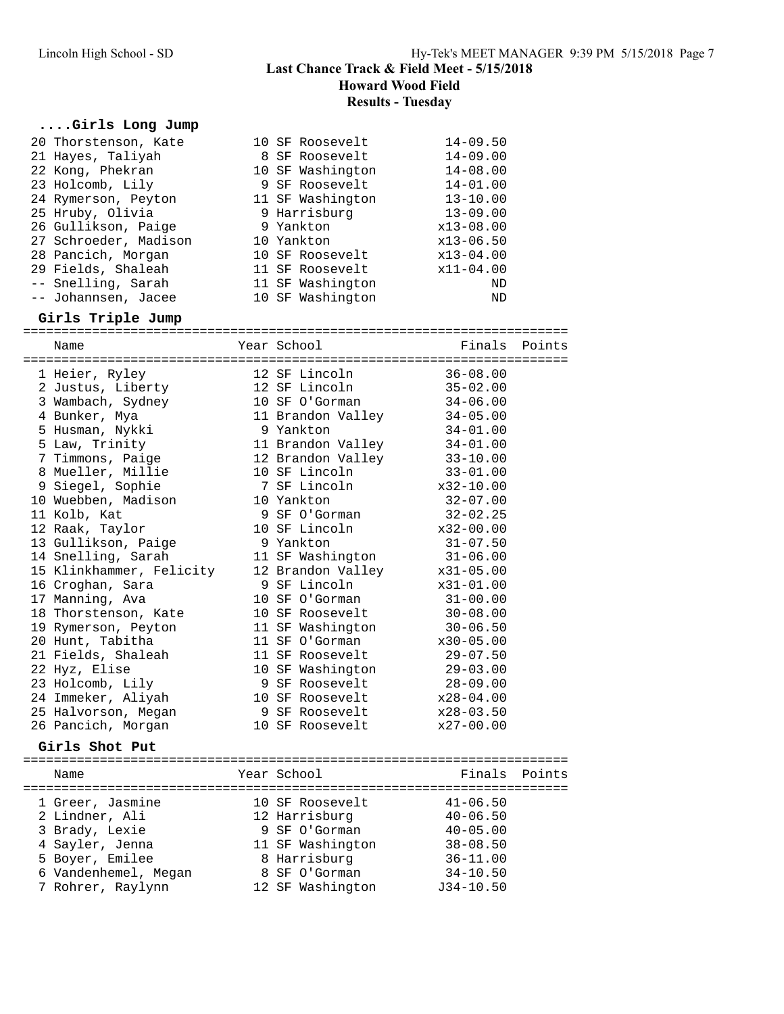#### **Howard Wood Field**

**Results - Tuesday**

# **....Girls Long Jump**

| 20 Thorstenson, Kate<br>21 Hayes, Taliyah | 10 SF Roosevelt<br>8 SF Roosevelt | $14 - 09.50$<br>$14 - 09.00$ |        |
|-------------------------------------------|-----------------------------------|------------------------------|--------|
| 22 Kong, Phekran                          | 10 SF Washington                  | $14 - 08.00$                 |        |
| 23 Holcomb, Lily                          | 9 SF Roosevelt                    | $14 - 01.00$                 |        |
| 24 Rymerson, Peyton                       | 11 SF Washington                  | $13 - 10.00$                 |        |
| 25 Hruby, Olivia                          | 9 Harrisburg                      | $13 - 09.00$                 |        |
| 26 Gullikson, Paige                       | 9 Yankton                         | $x13-08.00$                  |        |
| 27 Schroeder, Madison                     | 10 Yankton                        | $x13 - 06.50$                |        |
| 28 Pancich, Morgan                        | 10 SF Roosevelt                   | $x13-04.00$                  |        |
| 29 Fields, Shaleah                        | 11 SF Roosevelt                   | x11-04.00                    |        |
| -- Snelling, Sarah                        | 11 SF Washington                  | ND                           |        |
| -- Johannsen, Jacee                       | 10 SF Washington                  | ND                           |        |
| Girls Triple Jump                         |                                   |                              |        |
| Name                                      | Year School                       | Finals                       | Points |
| 1 Heier, Ryley                            | 12 SF Lincoln                     | $36 - 08.00$                 |        |
| 2 Justus, Liberty                         | 12 SF Lincoln                     | $35 - 02.00$                 |        |
| 3 Wambach, Sydney                         | 10 SF O'Gorman                    | $34 - 06.00$                 |        |
| 4 Bunker, Mya                             | 11 Brandon Valley                 | $34 - 05.00$                 |        |
| 5 Husman, Nykki                           | 9 Yankton                         | $34 - 01.00$                 |        |
| 5 Law, Trinity                            | 11 Brandon Valley                 | $34 - 01.00$                 |        |
| 7 Timmons, Paige                          | 12 Brandon Valley                 | $33 - 10.00$                 |        |
| 8 Mueller, Millie                         | 10 SF Lincoln                     | $33 - 01.00$                 |        |
| 9 Siegel, Sophie                          | 7 SF Lincoln                      | $x32-10.00$                  |        |
| 10 Wuebben, Madison                       | 10 Yankton                        | $32 - 07.00$                 |        |
| 11 Kolb, Kat                              | 9 SF O'Gorman                     | $32 - 02.25$                 |        |
| 12 Raak, Taylor                           | 10 SF Lincoln                     | x32-00.00                    |        |
| 13 Gullikson, Paige                       | 9 Yankton                         | $31 - 07.50$                 |        |
| 14 Snelling, Sarah                        | 11 SF Washington                  | $31 - 06.00$                 |        |
| 15 Klinkhammer, Felicity                  | 12 Brandon Valley                 | $x31-05.00$                  |        |
| 16 Croghan, Sara                          | 9 SF Lincoln                      | $x31 - 01.00$                |        |
| 17 Manning, Ava                           | 10 SF O'Gorman                    | $31 - 00.00$                 |        |
| 18 Thorstenson, Kate                      | 10 SF Roosevelt                   | $30 - 08.00$                 |        |
| 19 Rymerson, Peyton                       | 11 SF Washington                  | $30 - 06.50$                 |        |
| 20 Hunt, Tabitha                          | 11 SF O'Gorman                    | $x30-05.00$                  |        |
| 21 Fields, Shaleah                        | 11 SF Roosevelt                   | $29 - 07.50$                 |        |
| 22 Hyz, Elise                             | 10 SF Washington                  | $29 - 03.00$                 |        |
| 23 Holcomb, Lily                          | 9 SF Roosevelt                    | $28 - 09.00$                 |        |
| 24 Immeker, Aliyah                        | 10 SF Roosevelt                   | $x28 - 04.00$                |        |
| 25 Halvorson, Megan                       | 9 SF Roosevelt                    | x28-03.50                    |        |
| 26 Pancich, Morgan                        | 10 SF Roosevelt                   | x27-00.00                    |        |
| Girls Shot Put                            |                                   |                              |        |
| Name                                      | Year School                       | Finals                       | Points |
| 1 Greer, Jasmine                          | 10 SF Roosevelt                   | $41 - 06.50$                 |        |
| 2 Lindner, Ali                            | 12 Harrisburg                     | $40 - 06.50$                 |        |
| 3 Brady, Lexie                            | 9 SF O'Gorman                     | $40 - 05.00$                 |        |
| 4 Sayler, Jenna                           | 11 SF Washington                  | $38 - 08.50$                 |        |
| 5 Boyer, Emilee                           | 8 Harrisburg                      | $36 - 11.00$                 |        |
| 6 Vandenhemel, Megan                      | 8 SF O'Gorman                     | $34 - 10.50$                 |        |
| 7 Rohrer, Raylynn                         | 12 SF Washington                  | $J34-10.50$                  |        |
|                                           |                                   |                              |        |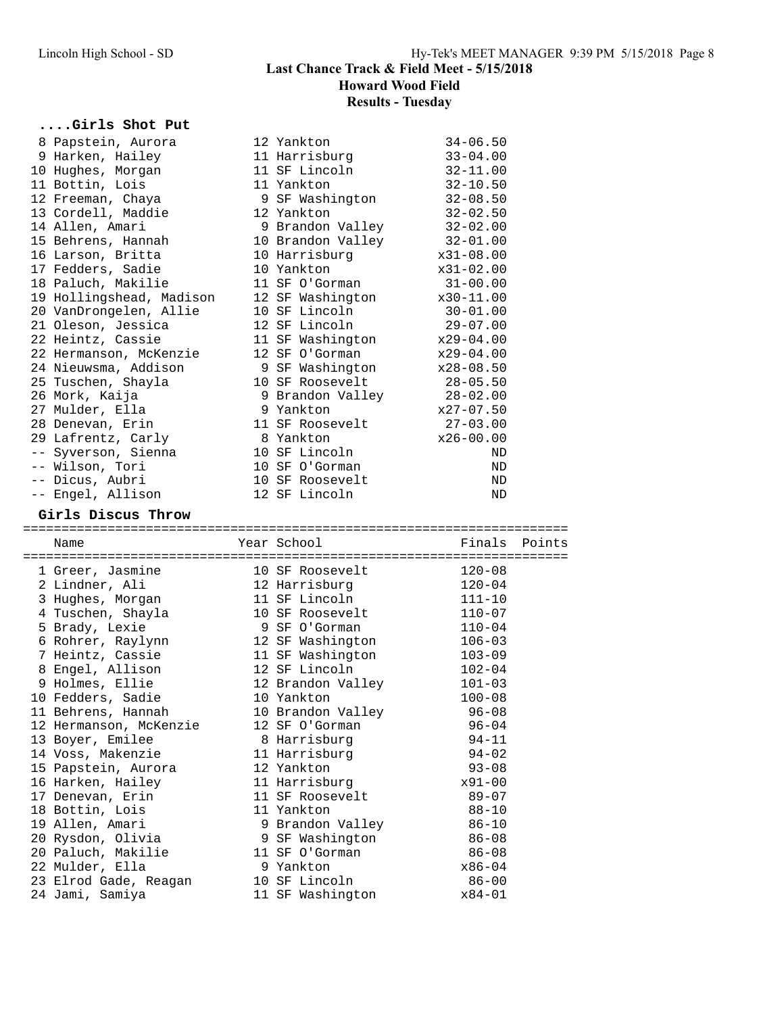# **....Girls Shot Put**

|  | GILIS SUOL FUL                           |                                   |                         |        |
|--|------------------------------------------|-----------------------------------|-------------------------|--------|
|  | 8 Papstein, Aurora                       | 12 Yankton                        | $34 - 06.50$            |        |
|  | 9 Harken, Hailey                         | 11 Harrisburg                     | $33 - 04.00$            |        |
|  | 10 Hughes, Morgan                        | 11 SF Lincoln                     | $32 - 11.00$            |        |
|  | 11 Bottin, Lois                          | 11 Yankton                        | $32 - 10.50$            |        |
|  | 12 Freeman, Chaya                        | 9 SF Washington                   | $32 - 08.50$            |        |
|  | 13 Cordell, Maddie                       | 12 Yankton                        | $32 - 02.50$            |        |
|  | 14 Allen, Amari                          | 9 Brandon Valley                  | $32 - 02.00$            |        |
|  | 15 Behrens, Hannah                       | 10 Brandon Valley                 | 32-01.00                |        |
|  | 16 Larson, Britta                        | 10 Harrisburg                     | $x31-08.00$             |        |
|  | 17 Fedders, Sadie                        | 10 Yankton                        | $x31-02.00$             |        |
|  | 18 Paluch, Makilie                       | 11 SF O'Gorman                    | $31 - 00.00$            |        |
|  | 19 Hollingshead, Madison                 | 12 SF Washington                  | $x30-11.00$             |        |
|  | 20 VanDrongelen, Allie                   | 10 SF Lincoln                     | $30 - 01.00$            |        |
|  | 21 Oleson, Jessica                       | 12 SF Lincoln                     | $29 - 07.00$            |        |
|  | 22 Heintz, Cassie                        | 11 SF Washington                  | $x29-04.00$             |        |
|  | 22 Hermanson, McKenzie                   | 12 SF O'Gorman                    | x29-04.00               |        |
|  | 24 Nieuwsma, Addison                     | 9 SF Washington                   | $x28 - 08.50$           |        |
|  | 25 Tuschen, Shayla                       | 10 SF Roosevelt                   | $28 - 05.50$            |        |
|  | 26 Mork, Kaija                           | 9 Brandon Valley                  | 28-02.00                |        |
|  | 27 Mulder, Ella                          | 9 Yankton                         | $x27 - 07.50$           |        |
|  | 28 Denevan, Erin                         | 11 SF Roosevelt                   | $27 - 03.00$            |        |
|  | 29 Lafrentz, Carly                       | 8 Yankton                         | x26-00.00               |        |
|  |                                          | 10 SF Lincoln                     | ND                      |        |
|  | -- Syverson, Sienna<br>-- Wilson, Tori   | 10 SF O'Gorman                    | ND                      |        |
|  | -- Dicus, Aubri                          | 10 SF Roosevelt                   | $\rm ND$                |        |
|  | -- Engel, Allison                        | 12 SF Lincoln                     | $\rm ND$                |        |
|  |                                          |                                   |                         |        |
|  |                                          |                                   |                         |        |
|  | Girls Discus Throw                       |                                   |                         |        |
|  | Name                                     | Year School                       | Finals                  | Points |
|  |                                          |                                   |                         |        |
|  | 1 Greer, Jasmine                         |                                   | $120 - 08$              |        |
|  | 2 Lindner, Ali                           | 10 SF Roosevelt<br>12 Harrisburg  | $120 - 04$              |        |
|  | 3 Hughes, Morgan                         | 11 SF Lincoln                     | $111 - 10$              |        |
|  | 4 Tuschen, Shayla                        | 10 SF Roosevelt                   | $110 - 07$              |        |
|  | 5 Brady, Lexie                           | 9 SF O'Gorman                     | $110 - 04$              |        |
|  | 6 Rohrer, Raylynn                        | 12 SF Washington                  | $106 - 03$              |        |
|  | 7 Heintz, Cassie                         | 11 SF Washington                  | $103 - 09$              |        |
|  | 8 Engel, Allison                         | 12 SF Lincoln                     | $102 - 04$              |        |
|  | 9 Holmes, Ellie                          | 12 Brandon Valley                 | $101 - 03$              |        |
|  | 10 Fedders, Sadie                        | 10 Yankton                        | $100 - 08$              |        |
|  | 11 Behrens, Hannah                       | 10 Brandon Valley                 | $96 - 08$               |        |
|  | 12 Hermanson, McKenzie                   | 12 SF O'Gorman                    | $96 - 04$               |        |
|  | 13 Boyer, Emilee                         | 8 Harrisburg                      | $94 - 11$               |        |
|  | 14 Voss, Makenzie                        | 11 Harrisburg                     | $94 - 02$               |        |
|  | 15 Papstein, Aurora                      | 12 Yankton                        | $93 - 08$               |        |
|  | 16 Harken, Hailey                        | 11 Harrisburg                     | $x91 - 00$              |        |
|  | 17 Denevan, Erin                         | 11 SF Roosevelt                   | $89 - 07$               |        |
|  | 18 Bottin, Lois                          | 11 Yankton                        | $88 - 10$               |        |
|  | 19 Allen, Amari                          | 9 Brandon Valley                  | $86 - 10$               |        |
|  | 20 Rysdon, Olivia                        | 9 SF Washington                   | $86 - 08$               |        |
|  | 20 Paluch, Makilie                       | 11 SF O'Gorman                    |                         |        |
|  |                                          | 9 Yankton                         | $86 - 08$<br>$x86 - 04$ |        |
|  | 22 Mulder, Ella                          |                                   |                         |        |
|  | 23 Elrod Gade, Reagan<br>24 Jami, Samiya | 10 SF Lincoln<br>11 SF Washington | $86 - 00$<br>$x84 - 01$ |        |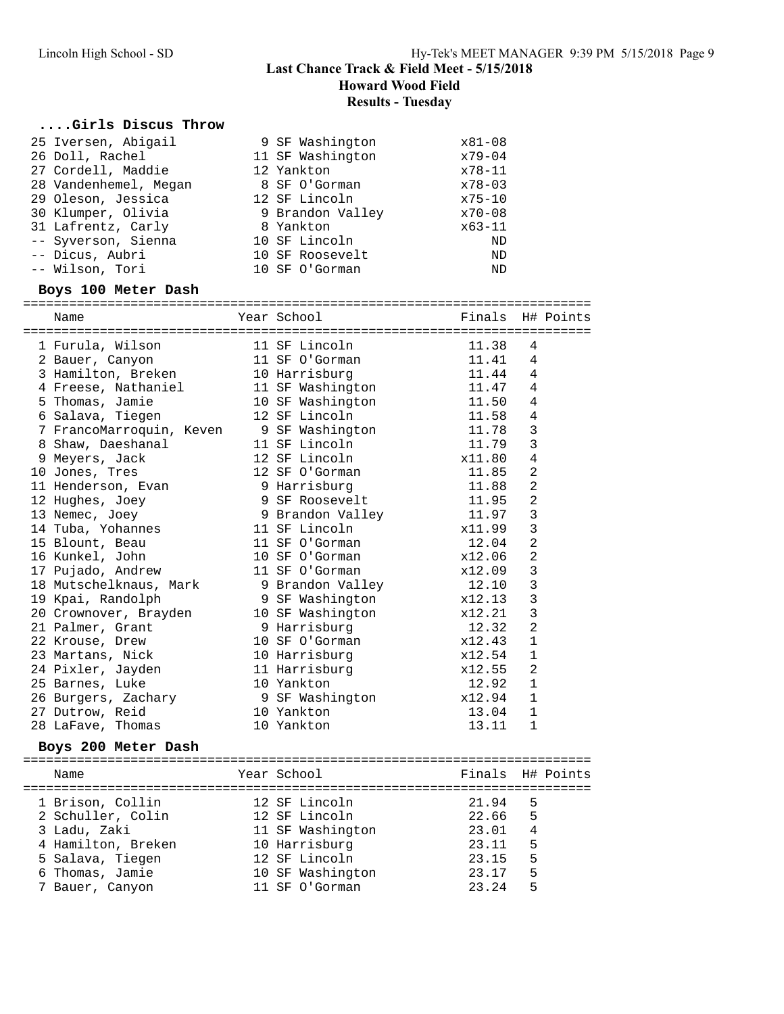## **Last Chance Track & Field Meet - 5/15/2018**

**Howard Wood Field**

**Results - Tuesday**

## **....Girls Discus Throw**

| 25 Iversen, Abigail<br>26 Doll, Rachel<br>27 Cordell, Maddie<br>28 Vandenhemel, Megan<br>29 Oleson, Jessica<br>30 Klumper, Olivia<br>31 Lafrentz, Carly<br>-- Syverson, Sienna<br>-- Dicus, Aubri<br>-- Wilson, Tori<br>Boys 100 Meter Dash | 9 SF Washington<br>11 SF Washington<br>12 Yankton<br>8 SF O'Gorman<br>12 SF Lincoln<br>9 Brandon Valley<br>8 Yankton<br>10 SF Lincoln<br>10 SF Roosevelt<br>10 SF O'Gorman | x81-08<br>$x79 - 04$<br>$x78 - 11$<br>$x78 - 03$<br>$x75 - 10$<br>$x70 - 08$<br>$x63 - 11$<br>ND<br><b>ND</b><br>ND |                |  |
|---------------------------------------------------------------------------------------------------------------------------------------------------------------------------------------------------------------------------------------------|----------------------------------------------------------------------------------------------------------------------------------------------------------------------------|---------------------------------------------------------------------------------------------------------------------|----------------|--|
| Name                                                                                                                                                                                                                                        | Year School                                                                                                                                                                | Finals H# Points                                                                                                    |                |  |
| 1 Furula, Wilson                                                                                                                                                                                                                            | 11 SF Lincoln                                                                                                                                                              | 11.38                                                                                                               | 4              |  |
| 2 Bauer, Canyon                                                                                                                                                                                                                             | 11 SF O'Gorman                                                                                                                                                             | 11.41                                                                                                               | $\overline{4}$ |  |
| 3 Hamilton, Breken                                                                                                                                                                                                                          | 10 Harrisburg                                                                                                                                                              | 11.44                                                                                                               | $\overline{4}$ |  |
| 4 Freese, Nathaniel                                                                                                                                                                                                                         | 11 SF Washington                                                                                                                                                           | 11.47                                                                                                               | 4              |  |
| 5 Thomas, Jamie                                                                                                                                                                                                                             | 10 SF Washington                                                                                                                                                           | 11.50                                                                                                               | $\sqrt{4}$     |  |
| 6 Salava, Tiegen                                                                                                                                                                                                                            | 12 SF Lincoln                                                                                                                                                              | 11.58                                                                                                               | $\sqrt{4}$     |  |
| 7 FrancoMarroquin, Keven 9 SF Washington                                                                                                                                                                                                    |                                                                                                                                                                            | 11.78                                                                                                               | $\overline{3}$ |  |
| 8 Shaw, Daeshanal                                                                                                                                                                                                                           | 11 SF Lincoln                                                                                                                                                              | 11.79                                                                                                               | $\overline{3}$ |  |
| 9 Meyers, Jack                                                                                                                                                                                                                              | 12 SF Lincoln                                                                                                                                                              | x11.80                                                                                                              | $\sqrt{4}$     |  |
| 10 Jones, Tres                                                                                                                                                                                                                              | 12 SF O'Gorman                                                                                                                                                             | 11.85                                                                                                               | $\overline{2}$ |  |
| 11 Henderson, Evan                                                                                                                                                                                                                          | 9 Harrisburg                                                                                                                                                               | 11.88                                                                                                               | 2              |  |
| 12 Hughes, Joey                                                                                                                                                                                                                             | 9 SF Roosevelt                                                                                                                                                             | 11.95                                                                                                               | $\overline{2}$ |  |
| 13 Nemec, Joey                                                                                                                                                                                                                              | 9 Brandon Valley                                                                                                                                                           | 11.97                                                                                                               | $\overline{3}$ |  |
| 14 Tuba, Yohannes                                                                                                                                                                                                                           | 11 SF Lincoln                                                                                                                                                              | x11.99                                                                                                              | $\overline{3}$ |  |
| 15 Blount, Beau                                                                                                                                                                                                                             | 11 SF O'Gorman                                                                                                                                                             | 12.04                                                                                                               | $\overline{2}$ |  |
| 16 Kunkel, John                                                                                                                                                                                                                             | 10 SF O'Gorman                                                                                                                                                             | x12.06                                                                                                              | $\overline{2}$ |  |
| 17 Pujado, Andrew                                                                                                                                                                                                                           | 11 SF O'Gorman                                                                                                                                                             | x12.09                                                                                                              | 3              |  |
| 18 Mutschelknaus, Mark                                                                                                                                                                                                                      | 9 Brandon Valley                                                                                                                                                           | 12.10                                                                                                               | $\overline{3}$ |  |
| 19 Kpai, Randolph                                                                                                                                                                                                                           | 9 SF Washington                                                                                                                                                            | x12.13                                                                                                              | $\overline{3}$ |  |
| 20 Crownover, Brayden                                                                                                                                                                                                                       | 10 SF Washington                                                                                                                                                           | x12.21                                                                                                              | $\overline{3}$ |  |
| 21 Palmer, Grant                                                                                                                                                                                                                            | 9 Harrisburg                                                                                                                                                               | 12.32                                                                                                               | $\overline{2}$ |  |
| 22 Krouse, Drew                                                                                                                                                                                                                             | 10 SF O'Gorman                                                                                                                                                             | x12.43                                                                                                              | 1              |  |

| $N \cap m \cap$     | Voor Cahool     |        | $FindA$ $U#$ $D$ $A$ $A$ $A$ $A$ |
|---------------------|-----------------|--------|----------------------------------|
| Boys 200 Meter Dash |                 |        |                                  |
| 28 LaFave, Thomas   | 10 Yankton      | 13.11  |                                  |
| 27 Dutrow, Reid     | 10 Yankton      | 13.04  |                                  |
| 26 Burgers, Zachary | 9 SF Washington | x12.94 |                                  |
| 25 Barnes, Luke     | 10 Yankton      | 12.92  |                                  |
| 24 Pixler, Jayden   | 11 Harrisburg   | x12.55 | -2                               |
| 23 Martans, Nick    | 10 Harrisburg   | x12.54 | 1                                |
| 22 Krouse, Drew     | 10 SF O'Gorman  | XIZ.43 |                                  |

| Name               | Year School      |       | Finals H# Points |  |
|--------------------|------------------|-------|------------------|--|
| 1 Brison, Collin   | 12 SF Lincoln    | 21.94 | 5                |  |
| 2 Schuller, Colin  | 12 SF Lincoln    | 22.66 | 5                |  |
| 3 Ladu, Zaki       | 11 SF Washington | 23.01 | 4                |  |
| 4 Hamilton, Breken | 10 Harrisburg    | 23.11 | 5                |  |
| 5 Salava, Tiegen   | 12 SF Lincoln    | 23.15 | 5                |  |
| 6 Thomas, Jamie    | 10 SF Washington | 23.17 | 5                |  |
| 7 Bauer, Canyon    | 11 SF O'Gorman   | 23.24 | 5                |  |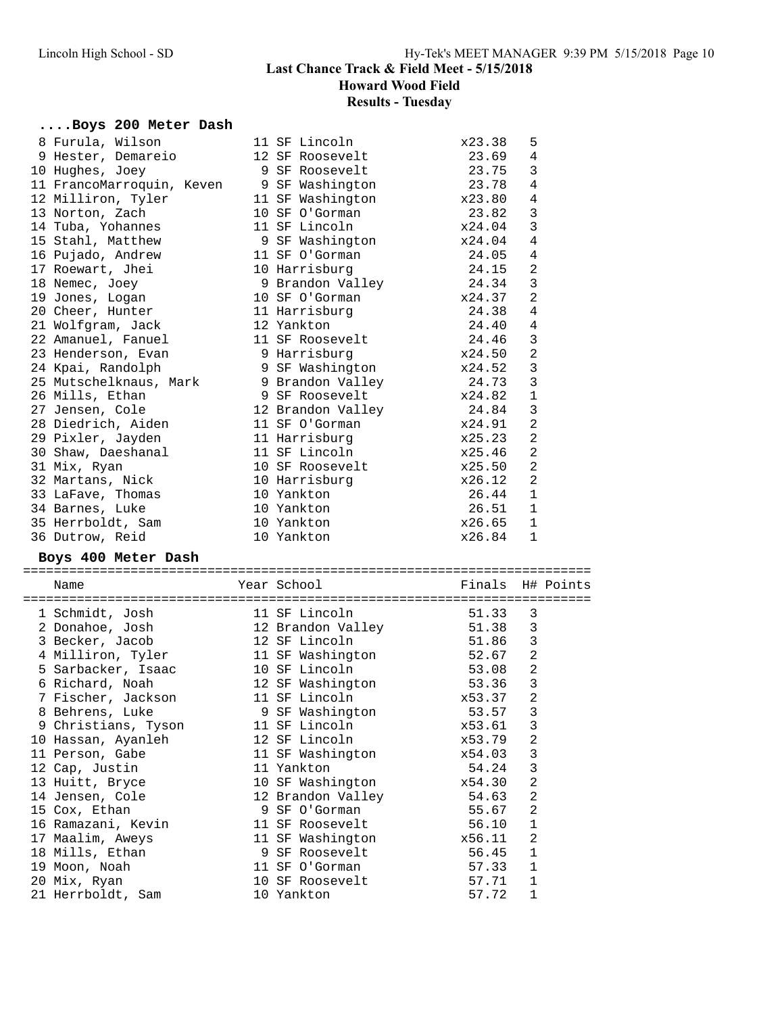# **Results - Tuesday**

# **....Boys 200 Meter Dash**

| 8 Furula, Wilson                                         | 11 SF Lincoln     | x23.38 | 5              |
|----------------------------------------------------------|-------------------|--------|----------------|
| 9 Hester, Demareio                                       | 12 SF Roosevelt   | 23.69  | $\overline{4}$ |
| 10 Hughes, Joey                                          | 9 SF Roosevelt    | 23.75  | 3              |
| 11 FrancoMarroquin, Keven                                | 9 SF Washington   | 23.78  | $\overline{4}$ |
| 12 Milliron, Tyler                                       | 11 SF Washington  | x23.80 | 4              |
| 13 Norton, Zach                                          | 10 SF O'Gorman    | 23.82  | $\mathfrak{Z}$ |
| 14 Tuba, Yohannes                                        | 11 SF Lincoln     | x24.04 | $\mathfrak{Z}$ |
| 15 Stahl, Matthew                                        | 9 SF Washington   | x24.04 | 4              |
| 16 Pujado, Andrew                                        | 11 SF O'Gorman    | 24.05  | $\overline{4}$ |
| 17 Roewart, Jhei                                         | 10 Harrisburg     | 24.15  | 2              |
| 18 Nemec, Joey                                           | 9 Brandon Valley  | 24.34  | $\mathbf{3}$   |
| 19 Jones, Logan                                          | 10 SF O'Gorman    | x24.37 | $\overline{2}$ |
| 20 Cheer, Hunter                                         | 11 Harrisburg     | 24.38  | $\overline{4}$ |
| 21 Wolfgram, Jack                                        | 12 Yankton        | 24.40  | 4              |
| 22 Amanuel, Fanuel                                       | 11 SF Roosevelt   | 24.46  | $\mathbf{3}$   |
| 23 Henderson, Evan                                       | 9 Harrisburg      | x24.50 | $\overline{2}$ |
| 24 Kpai, Randolph                                        | 9 SF Washington   | x24.52 | $\mathbf{3}$   |
| 25 Mutschelknaus, Mark                                   | 9 Brandon Valley  | 24.73  | $\mathsf 3$    |
| 26 Mills, Ethan                                          | 9 SF Roosevelt    | x24.82 | $\mathbf 1$    |
| 27 Jensen, Cole                                          | 12 Brandon Valley | 24.84  | $\mathbf{3}$   |
| 28 Diedrich, Aiden                                       | 11 SF O'Gorman    | x24.91 | $\overline{a}$ |
| 29 Pixler, Jayden                                        | 11 Harrisburg     | x25.23 | $\overline{a}$ |
| 30 Shaw, Daeshanal                                       | 11 SF Lincoln     | x25.46 | 2              |
| 31 Mix, Ryan                                             | 10 SF Roosevelt   | x25.50 | 2              |
| 32 Martans, Nick                                         | 10 Harrisburg     | x26.12 | $\overline{a}$ |
| 33 LaFave, Thomas                                        | 10 Yankton        | 26.44  | $\mathbf{1}$   |
| 34 Barnes, Luke                                          | 10 Yankton        | 26.51  | $\mathbf{1}$   |
| 35 Herrboldt, Sam                                        | 10 Yankton        | x26.65 | $\mathbf{1}$   |
| 36 Dutrow, Reid                                          | 10 Yankton        | x26.84 | $\mathbf{1}$   |
| $D_{\text{atm}}$ $100$ $M_{\text{atm}}$ $D_{\text{atm}}$ |                   |        |                |

#### **Boys 400 Meter Dash**

| ========<br>Name    |   | Year School       |        | Finals H# Points |
|---------------------|---|-------------------|--------|------------------|
| 1 Schmidt, Josh     |   | 11 SF Lincoln     | 51.33  | 3                |
| 2 Donahoe, Josh     |   | 12 Brandon Valley | 51.38  | 3                |
| 3 Becker, Jacob     |   | 12 SF Lincoln     | 51.86  | 3                |
| 4 Milliron, Tyler   |   | 11 SF Washington  | 52.67  | $\overline{2}$   |
| 5 Sarbacker, Isaac  |   | 10 SF Lincoln     | 53.08  | $\overline{2}$   |
| 6 Richard, Noah     |   | 12 SF Washington  | 53.36  | 3                |
| 7 Fischer, Jackson  |   | 11 SF Lincoln     | x53.37 | $\overline{2}$   |
| 8 Behrens, Luke     |   | 9 SF Washington   | 53.57  | 3                |
| 9 Christians, Tyson |   | 11 SF Lincoln     | x53.61 | 3                |
| 10 Hassan, Ayanleh  |   | 12 SF Lincoln     | x53.79 | 2                |
| 11 Person, Gabe     |   | 11 SF Washington  | x54.03 | 3                |
| 12 Cap, Justin      |   | 11 Yankton        | 54.24  | 3                |
| 13 Huitt, Bryce     |   | 10 SF Washington  | x54.30 | 2                |
| 14 Jensen, Cole     |   | 12 Brandon Valley | 54.63  | $\overline{2}$   |
| 15 Cox, Ethan       | 9 | SF O'Gorman       | 55.67  | $\overline{2}$   |
| 16 Ramazani, Kevin  |   | 11 SF Roosevelt   | 56.10  | $\mathbf{1}$     |
| 17 Maalim, Aweys    |   | 11 SF Washington  | x56.11 | 2                |
| 18 Mills, Ethan     |   | 9 SF Roosevelt    | 56.45  | 1                |
| 19 Moon, Noah       |   | 11 SF O'Gorman    | 57.33  | $\mathbf{1}$     |
| 20 Mix, Ryan        |   | 10 SF Roosevelt   | 57.71  | 1                |
| 21 Herrboldt, Sam   |   | 10 Yankton        | 57.72  | $\mathbf{1}$     |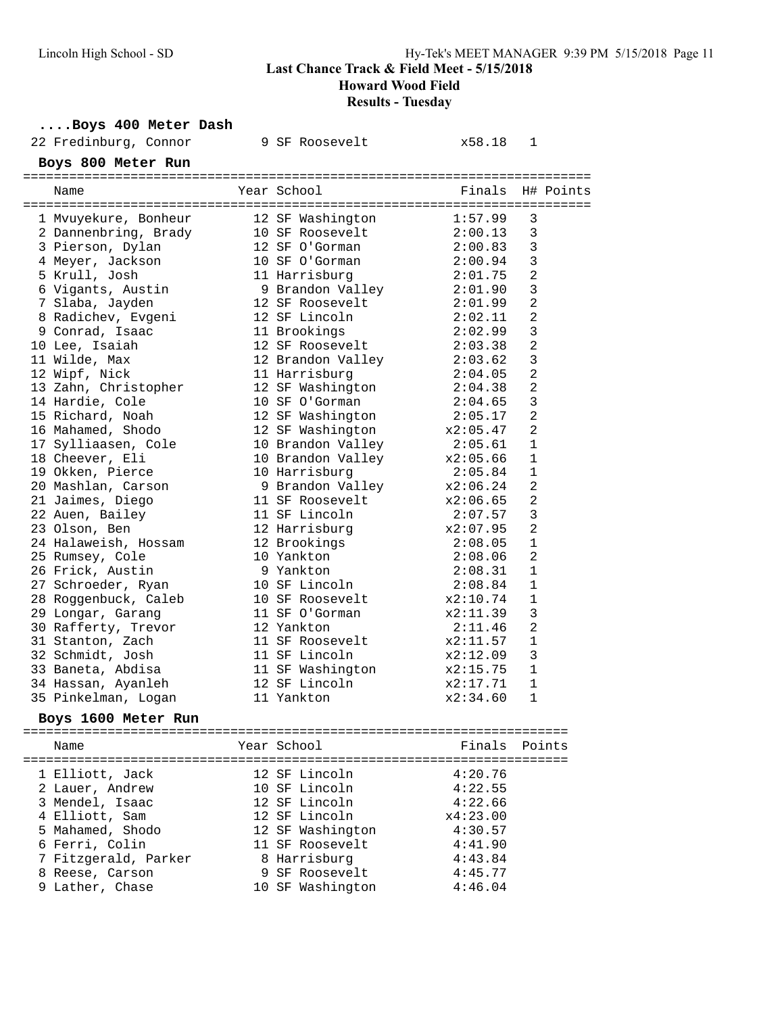# Lincoln High School - SD Hy-Tek's MEET MANAGER 9:39 PM 5/15/2018 Page 11 **Last Chance Track & Field Meet - 5/15/2018 Howard Wood Field Results - Tuesday**

#### **....Boys 400 Meter Dash**

| 22 Fredinburg, Connor |                                                                                                                                                                                                                                                                                                                                                                                                                                                                                                                                                                                                                                                                                                |                                                                                          | x58.18                                                                                                                                                                                                                                                                                                                                                                                                                                                                                                       | 1                                                                                                                                                                                                                                                                                                                   |                                                                                                                                                                                                 |
|-----------------------|------------------------------------------------------------------------------------------------------------------------------------------------------------------------------------------------------------------------------------------------------------------------------------------------------------------------------------------------------------------------------------------------------------------------------------------------------------------------------------------------------------------------------------------------------------------------------------------------------------------------------------------------------------------------------------------------|------------------------------------------------------------------------------------------|--------------------------------------------------------------------------------------------------------------------------------------------------------------------------------------------------------------------------------------------------------------------------------------------------------------------------------------------------------------------------------------------------------------------------------------------------------------------------------------------------------------|---------------------------------------------------------------------------------------------------------------------------------------------------------------------------------------------------------------------------------------------------------------------------------------------------------------------|-------------------------------------------------------------------------------------------------------------------------------------------------------------------------------------------------|
|                       |                                                                                                                                                                                                                                                                                                                                                                                                                                                                                                                                                                                                                                                                                                |                                                                                          |                                                                                                                                                                                                                                                                                                                                                                                                                                                                                                              |                                                                                                                                                                                                                                                                                                                     |                                                                                                                                                                                                 |
| Name                  |                                                                                                                                                                                                                                                                                                                                                                                                                                                                                                                                                                                                                                                                                                |                                                                                          | Finals                                                                                                                                                                                                                                                                                                                                                                                                                                                                                                       |                                                                                                                                                                                                                                                                                                                     |                                                                                                                                                                                                 |
|                       |                                                                                                                                                                                                                                                                                                                                                                                                                                                                                                                                                                                                                                                                                                |                                                                                          |                                                                                                                                                                                                                                                                                                                                                                                                                                                                                                              |                                                                                                                                                                                                                                                                                                                     |                                                                                                                                                                                                 |
|                       |                                                                                                                                                                                                                                                                                                                                                                                                                                                                                                                                                                                                                                                                                                |                                                                                          |                                                                                                                                                                                                                                                                                                                                                                                                                                                                                                              | 3                                                                                                                                                                                                                                                                                                                   |                                                                                                                                                                                                 |
|                       |                                                                                                                                                                                                                                                                                                                                                                                                                                                                                                                                                                                                                                                                                                |                                                                                          |                                                                                                                                                                                                                                                                                                                                                                                                                                                                                                              |                                                                                                                                                                                                                                                                                                                     |                                                                                                                                                                                                 |
|                       |                                                                                                                                                                                                                                                                                                                                                                                                                                                                                                                                                                                                                                                                                                |                                                                                          |                                                                                                                                                                                                                                                                                                                                                                                                                                                                                                              |                                                                                                                                                                                                                                                                                                                     |                                                                                                                                                                                                 |
|                       |                                                                                                                                                                                                                                                                                                                                                                                                                                                                                                                                                                                                                                                                                                |                                                                                          |                                                                                                                                                                                                                                                                                                                                                                                                                                                                                                              |                                                                                                                                                                                                                                                                                                                     |                                                                                                                                                                                                 |
|                       |                                                                                                                                                                                                                                                                                                                                                                                                                                                                                                                                                                                                                                                                                                |                                                                                          |                                                                                                                                                                                                                                                                                                                                                                                                                                                                                                              |                                                                                                                                                                                                                                                                                                                     |                                                                                                                                                                                                 |
|                       |                                                                                                                                                                                                                                                                                                                                                                                                                                                                                                                                                                                                                                                                                                |                                                                                          | 2:01.90                                                                                                                                                                                                                                                                                                                                                                                                                                                                                                      |                                                                                                                                                                                                                                                                                                                     |                                                                                                                                                                                                 |
|                       |                                                                                                                                                                                                                                                                                                                                                                                                                                                                                                                                                                                                                                                                                                |                                                                                          | 2:01.99                                                                                                                                                                                                                                                                                                                                                                                                                                                                                                      |                                                                                                                                                                                                                                                                                                                     |                                                                                                                                                                                                 |
|                       |                                                                                                                                                                                                                                                                                                                                                                                                                                                                                                                                                                                                                                                                                                |                                                                                          | 2:02.11                                                                                                                                                                                                                                                                                                                                                                                                                                                                                                      |                                                                                                                                                                                                                                                                                                                     |                                                                                                                                                                                                 |
|                       |                                                                                                                                                                                                                                                                                                                                                                                                                                                                                                                                                                                                                                                                                                |                                                                                          |                                                                                                                                                                                                                                                                                                                                                                                                                                                                                                              |                                                                                                                                                                                                                                                                                                                     |                                                                                                                                                                                                 |
|                       |                                                                                                                                                                                                                                                                                                                                                                                                                                                                                                                                                                                                                                                                                                |                                                                                          |                                                                                                                                                                                                                                                                                                                                                                                                                                                                                                              |                                                                                                                                                                                                                                                                                                                     |                                                                                                                                                                                                 |
|                       |                                                                                                                                                                                                                                                                                                                                                                                                                                                                                                                                                                                                                                                                                                |                                                                                          | 2:03.62                                                                                                                                                                                                                                                                                                                                                                                                                                                                                                      |                                                                                                                                                                                                                                                                                                                     |                                                                                                                                                                                                 |
|                       |                                                                                                                                                                                                                                                                                                                                                                                                                                                                                                                                                                                                                                                                                                |                                                                                          |                                                                                                                                                                                                                                                                                                                                                                                                                                                                                                              |                                                                                                                                                                                                                                                                                                                     |                                                                                                                                                                                                 |
|                       |                                                                                                                                                                                                                                                                                                                                                                                                                                                                                                                                                                                                                                                                                                |                                                                                          | 2:04.38                                                                                                                                                                                                                                                                                                                                                                                                                                                                                                      |                                                                                                                                                                                                                                                                                                                     |                                                                                                                                                                                                 |
|                       |                                                                                                                                                                                                                                                                                                                                                                                                                                                                                                                                                                                                                                                                                                |                                                                                          | 2:04.65                                                                                                                                                                                                                                                                                                                                                                                                                                                                                                      |                                                                                                                                                                                                                                                                                                                     |                                                                                                                                                                                                 |
|                       |                                                                                                                                                                                                                                                                                                                                                                                                                                                                                                                                                                                                                                                                                                |                                                                                          | 2:05.17                                                                                                                                                                                                                                                                                                                                                                                                                                                                                                      | $\overline{a}$                                                                                                                                                                                                                                                                                                      |                                                                                                                                                                                                 |
|                       |                                                                                                                                                                                                                                                                                                                                                                                                                                                                                                                                                                                                                                                                                                |                                                                                          |                                                                                                                                                                                                                                                                                                                                                                                                                                                                                                              | $\overline{a}$                                                                                                                                                                                                                                                                                                      |                                                                                                                                                                                                 |
|                       |                                                                                                                                                                                                                                                                                                                                                                                                                                                                                                                                                                                                                                                                                                |                                                                                          | 2:05.61                                                                                                                                                                                                                                                                                                                                                                                                                                                                                                      | 1                                                                                                                                                                                                                                                                                                                   |                                                                                                                                                                                                 |
|                       |                                                                                                                                                                                                                                                                                                                                                                                                                                                                                                                                                                                                                                                                                                |                                                                                          | x2:05.66                                                                                                                                                                                                                                                                                                                                                                                                                                                                                                     | $\mathbf{1}$                                                                                                                                                                                                                                                                                                        |                                                                                                                                                                                                 |
|                       |                                                                                                                                                                                                                                                                                                                                                                                                                                                                                                                                                                                                                                                                                                |                                                                                          | 2:05.84                                                                                                                                                                                                                                                                                                                                                                                                                                                                                                      | $\mathbf 1$                                                                                                                                                                                                                                                                                                         |                                                                                                                                                                                                 |
|                       |                                                                                                                                                                                                                                                                                                                                                                                                                                                                                                                                                                                                                                                                                                |                                                                                          |                                                                                                                                                                                                                                                                                                                                                                                                                                                                                                              | 2                                                                                                                                                                                                                                                                                                                   |                                                                                                                                                                                                 |
|                       |                                                                                                                                                                                                                                                                                                                                                                                                                                                                                                                                                                                                                                                                                                |                                                                                          | x2:06.65                                                                                                                                                                                                                                                                                                                                                                                                                                                                                                     | $\overline{a}$                                                                                                                                                                                                                                                                                                      |                                                                                                                                                                                                 |
|                       |                                                                                                                                                                                                                                                                                                                                                                                                                                                                                                                                                                                                                                                                                                |                                                                                          | 2:07.57                                                                                                                                                                                                                                                                                                                                                                                                                                                                                                      | $\mathbf{3}$                                                                                                                                                                                                                                                                                                        |                                                                                                                                                                                                 |
|                       |                                                                                                                                                                                                                                                                                                                                                                                                                                                                                                                                                                                                                                                                                                |                                                                                          | x2:07.95                                                                                                                                                                                                                                                                                                                                                                                                                                                                                                     | 2                                                                                                                                                                                                                                                                                                                   |                                                                                                                                                                                                 |
|                       |                                                                                                                                                                                                                                                                                                                                                                                                                                                                                                                                                                                                                                                                                                |                                                                                          | 2:08.05                                                                                                                                                                                                                                                                                                                                                                                                                                                                                                      | $\mathbf 1$                                                                                                                                                                                                                                                                                                         |                                                                                                                                                                                                 |
|                       |                                                                                                                                                                                                                                                                                                                                                                                                                                                                                                                                                                                                                                                                                                |                                                                                          | 2:08.06                                                                                                                                                                                                                                                                                                                                                                                                                                                                                                      | $\overline{2}$                                                                                                                                                                                                                                                                                                      |                                                                                                                                                                                                 |
|                       |                                                                                                                                                                                                                                                                                                                                                                                                                                                                                                                                                                                                                                                                                                |                                                                                          | 2:08.31                                                                                                                                                                                                                                                                                                                                                                                                                                                                                                      | $\mathbf 1$                                                                                                                                                                                                                                                                                                         |                                                                                                                                                                                                 |
|                       |                                                                                                                                                                                                                                                                                                                                                                                                                                                                                                                                                                                                                                                                                                |                                                                                          | 2:08.84                                                                                                                                                                                                                                                                                                                                                                                                                                                                                                      | 1                                                                                                                                                                                                                                                                                                                   |                                                                                                                                                                                                 |
|                       |                                                                                                                                                                                                                                                                                                                                                                                                                                                                                                                                                                                                                                                                                                |                                                                                          | x2:10.74                                                                                                                                                                                                                                                                                                                                                                                                                                                                                                     | $\mathbf{1}$                                                                                                                                                                                                                                                                                                        |                                                                                                                                                                                                 |
|                       |                                                                                                                                                                                                                                                                                                                                                                                                                                                                                                                                                                                                                                                                                                |                                                                                          | x2:11.39                                                                                                                                                                                                                                                                                                                                                                                                                                                                                                     | 3                                                                                                                                                                                                                                                                                                                   |                                                                                                                                                                                                 |
|                       |                                                                                                                                                                                                                                                                                                                                                                                                                                                                                                                                                                                                                                                                                                |                                                                                          | 2:11.46                                                                                                                                                                                                                                                                                                                                                                                                                                                                                                      | $\overline{2}$                                                                                                                                                                                                                                                                                                      |                                                                                                                                                                                                 |
|                       |                                                                                                                                                                                                                                                                                                                                                                                                                                                                                                                                                                                                                                                                                                |                                                                                          | x2:11.57                                                                                                                                                                                                                                                                                                                                                                                                                                                                                                     | $\mathbf{1}$                                                                                                                                                                                                                                                                                                        |                                                                                                                                                                                                 |
|                       |                                                                                                                                                                                                                                                                                                                                                                                                                                                                                                                                                                                                                                                                                                |                                                                                          | x2:12.09                                                                                                                                                                                                                                                                                                                                                                                                                                                                                                     | 3                                                                                                                                                                                                                                                                                                                   |                                                                                                                                                                                                 |
|                       |                                                                                                                                                                                                                                                                                                                                                                                                                                                                                                                                                                                                                                                                                                |                                                                                          |                                                                                                                                                                                                                                                                                                                                                                                                                                                                                                              | $\mathbf{1}$                                                                                                                                                                                                                                                                                                        |                                                                                                                                                                                                 |
|                       |                                                                                                                                                                                                                                                                                                                                                                                                                                                                                                                                                                                                                                                                                                |                                                                                          |                                                                                                                                                                                                                                                                                                                                                                                                                                                                                                              | $\mathbf 1$                                                                                                                                                                                                                                                                                                         |                                                                                                                                                                                                 |
|                       |                                                                                                                                                                                                                                                                                                                                                                                                                                                                                                                                                                                                                                                                                                |                                                                                          | x2:34.60                                                                                                                                                                                                                                                                                                                                                                                                                                                                                                     | $\mathbf{1}$                                                                                                                                                                                                                                                                                                        |                                                                                                                                                                                                 |
|                       |                                                                                                                                                                                                                                                                                                                                                                                                                                                                                                                                                                                                                                                                                                |                                                                                          |                                                                                                                                                                                                                                                                                                                                                                                                                                                                                                              |                                                                                                                                                                                                                                                                                                                     |                                                                                                                                                                                                 |
|                       |                                                                                                                                                                                                                                                                                                                                                                                                                                                                                                                                                                                                                                                                                                |                                                                                          |                                                                                                                                                                                                                                                                                                                                                                                                                                                                                                              |                                                                                                                                                                                                                                                                                                                     |                                                                                                                                                                                                 |
| Name                  |                                                                                                                                                                                                                                                                                                                                                                                                                                                                                                                                                                                                                                                                                                |                                                                                          |                                                                                                                                                                                                                                                                                                                                                                                                                                                                                                              |                                                                                                                                                                                                                                                                                                                     |                                                                                                                                                                                                 |
|                       | Boys 800 Meter Run<br>1 Mvuyekure, Bonheur<br>3 Pierson, Dylan<br>4 Meyer, Jackson<br>5 Krull, Josh<br>7 Slaba, Jayden<br>8 Radichev, Evgeni<br>9 Conrad, Isaac<br>10 Lee, Isaiah<br>11 Wilde, Max<br>12 Wipf, Nick<br>14 Hardie, Cole<br>15 Richard, Noah<br>16 Mahamed, Shodo<br>18 Cheever, Eli<br>19 Okken, Pierce<br>20 Mashlan, Carson<br>21 Jaimes, Diego<br>22 Auen, Bailey<br>23 Olson, Ben<br>24 Halaweish, Hossam<br>25 Rumsey, Cole<br>26 Frick, Austin<br>27 Schroeder, Ryan<br>28 Roggenbuck, Caleb<br>29 Longar, Garang<br>30 Rafferty, Trevor<br>31 Stanton, Zach<br>32 Schmidt, Josh<br>33 Baneta, Abdisa<br>34 Hassan, Ayanleh<br>35 Pinkelman, Logan<br>Boys 1600 Meter Run | 2 Dannenbring, Brady<br>6 Vigants, Austin<br>13 Zahn, Christopher<br>17 Sylliaasen, Cole | 9 SF Roosevelt<br>Year School<br>12 SF Washington<br>10 SF Roosevelt<br>12 SF O'Gorman<br>10 SF O'Gorman<br>11 Harrisburg<br>12 SF Lincoln<br>11 Brookings<br>12 SF Roosevelt<br>11 Harrisburg<br>12 SF Washington<br>10 SF O'Gorman<br>12 SF Washington<br>10 Harrisburg<br>11 SF Lincoln<br>12 Harrisburg<br>12 Brookings<br>10 Yankton<br>9 Yankton<br>10 SF Lincoln<br>10 SF Roosevelt<br>11 SF O'Gorman<br>12 Yankton<br>11 SF Roosevelt<br>11 SF Lincoln<br>12 SF Lincoln<br>11 Yankton<br>Year School | 1:57.99<br>2:00.13<br>2:00.83<br>2:00.94<br>2:01.75<br>9 Brandon Valley<br>12 SF Roosevelt<br>2:02.99<br>2:03.38<br>12 Brandon Valley<br>2:04.05<br>12 SF Washington x2:05.47<br>10 Brandon Valley<br>10 Brandon Valley<br>9 Brandon Valley x2:06.24<br>11 SF Roosevelt<br>11 SF Washington<br>x2:15.75<br>x2:17.71 | H# Points<br>3<br>3<br>$\mathbf{3}$<br>$\overline{a}$<br>3<br>$\overline{2}$<br>$\overline{2}$<br>3<br>$\overline{2}$<br>$\mathbf{3}$<br>$\overline{a}$<br>$\overline{a}$<br>3<br>Finals Points |

| 1 Elliott, Jack      |  | 4:20.76                                                                                                                                                       |  |
|----------------------|--|---------------------------------------------------------------------------------------------------------------------------------------------------------------|--|
| 2 Lauer, Andrew      |  | 4:22.55                                                                                                                                                       |  |
| 3 Mendel, Isaac      |  | 4:22.66                                                                                                                                                       |  |
| 4 Elliott, Sam       |  | x4:23.00                                                                                                                                                      |  |
| 5 Mahamed, Shodo     |  | 4:30.57                                                                                                                                                       |  |
| 6 Ferri, Colin       |  | 4:41.90                                                                                                                                                       |  |
| 7 Fitzgerald, Parker |  | 4:43.84                                                                                                                                                       |  |
| 8 Reese, Carson      |  | 4:45.77                                                                                                                                                       |  |
| 9 Lather, Chase      |  | 4:46.04                                                                                                                                                       |  |
|                      |  | 12 SF Lincoln<br>10 SF Lincoln<br>12 SF Lincoln<br>12 SF Lincoln<br>12 SF Washington<br>11 SF Roosevelt<br>8 Harrisburg<br>9 SF Roosevelt<br>10 SF Washington |  |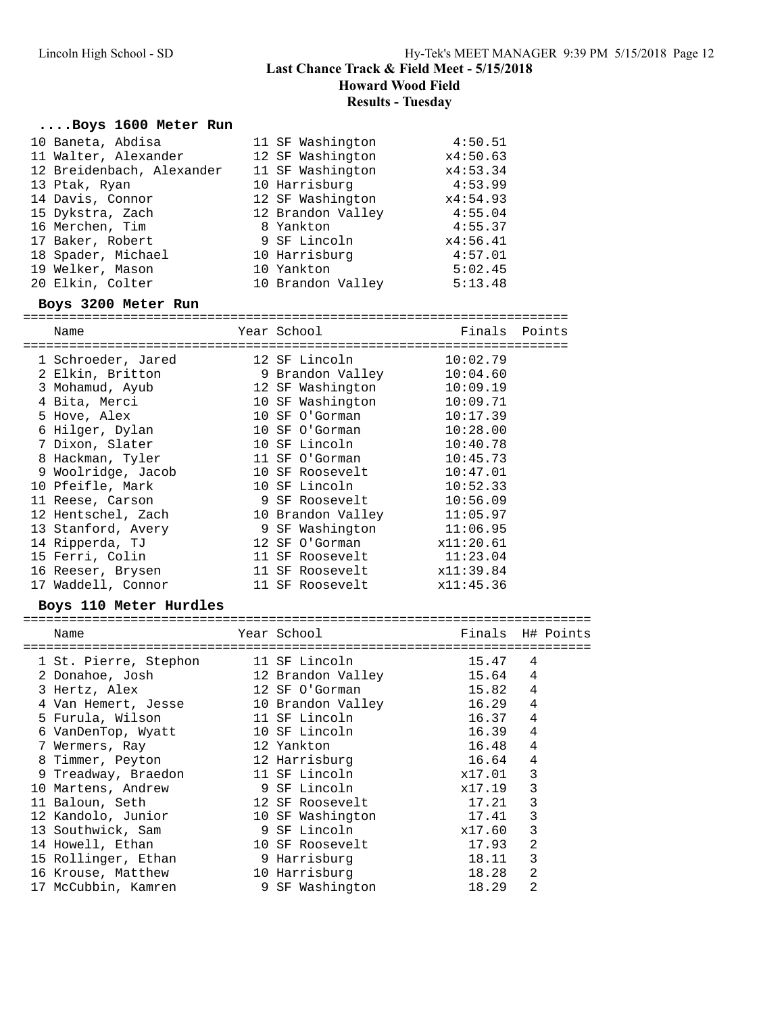## **....Boys 1600 Meter Run**

| 10 Baneta, Abdisa         | 11 SF Washington  | 4:50.51       |  |
|---------------------------|-------------------|---------------|--|
| 11 Walter, Alexander      | 12 SF Washington  | x4:50.63      |  |
| 12 Breidenbach, Alexander | 11 SF Washington  | x4:53.34      |  |
| 13 Ptak, Ryan             | 10 Harrisburg     | 4:53.99       |  |
| 14 Davis, Connor          | 12 SF Washington  | x4:54.93      |  |
| 15 Dykstra, Zach          | 12 Brandon Valley | 4:55.04       |  |
| 16 Merchen, Tim           | 8 Yankton         | 4:55.37       |  |
| 17 Baker, Robert          | 9 SF Lincoln      | x4:56.41      |  |
| 18 Spader, Michael        | 10 Harrisburg     | 4:57.01       |  |
| 19 Welker, Mason          | 10 Yankton        | 5:02.45       |  |
| 20 Elkin, Colter          | 10 Brandon Valley | 5:13.48       |  |
| Boys 3200 Meter Run       |                   |               |  |
| Name                      | Year School       | Finals Points |  |
|                           |                   |               |  |

| 1 Schroeder, Jared | 12 SF Lincoln    |                   | 10:02.79  |
|--------------------|------------------|-------------------|-----------|
| 2 Elkin, Britton   |                  | 9 Brandon Valley  | 10:04.60  |
| 3 Mohamud, Ayub    | 12 SF Washington |                   | 10:09.19  |
| 4 Bita, Merci      |                  | 10 SF Washington  | 10:09.71  |
| 5 Hove, Alex       | 10 SF O'Gorman   |                   | 10:17.39  |
| 6 Hilger, Dylan    | 10 SF O'Gorman   |                   | 10:28.00  |
| 7 Dixon, Slater    | 10 SF Lincoln    |                   | 10:40.78  |
| 8 Hackman, Tyler   | 11 SF O'Gorman   |                   | 10:45.73  |
| 9 Woolridge, Jacob | 10 SF Roosevelt  |                   | 10:47.01  |
| 10 Pfeifle, Mark   | 10 SF Lincoln    |                   | 10:52.33  |
| 11 Reese, Carson   | 9 SF Roosevelt   |                   | 10:56.09  |
| 12 Hentschel, Zach |                  | 10 Brandon Valley | 11:05.97  |
| 13 Stanford, Avery |                  | 9 SF Washington   | 11:06.95  |
| 14 Ripperda, TJ    | 12 SF O'Gorman   |                   | x11:20.61 |
| 15 Ferri, Colin    | 11 SF Roosevelt  |                   | 11:23.04  |
| 16 Reeser, Brysen  | 11 SF Roosevelt  |                   | x11:39.84 |
| 17 Waddell, Connor |                  | 11 SF Roosevelt   | x11:45.36 |

#### **Boys 110 Meter Hurdles**

| Name                  | Year School       |        | Finals H# Points |
|-----------------------|-------------------|--------|------------------|
| 1 St. Pierre, Stephon | 11 SF Lincoln     | 15.47  | 4                |
| 2 Donahoe, Josh       | 12 Brandon Valley | 15.64  | 4                |
| 3 Hertz, Alex         | 12 SF O'Gorman    | 15.82  | 4                |
| 4 Van Hemert, Jesse   | 10 Brandon Valley | 16.29  | 4                |
| 5 Furula, Wilson      | 11 SF Lincoln     | 16.37  | 4                |
| 6 VanDenTop, Wyatt    | 10 SF Lincoln     | 16.39  | 4                |
| 7 Wermers, Ray        | 12 Yankton        | 16.48  | 4                |
| 8 Timmer, Peyton      | 12 Harrisburg     | 16.64  | 4                |
| 9 Treadway, Braedon   | 11 SF Lincoln     | x17.01 | 3                |
| 10 Martens, Andrew    | 9 SF Lincoln      | x17.19 | 3                |
| 11 Baloun, Seth       | 12 SF Roosevelt   | 17.21  | 3                |
| 12 Kandolo, Junior    | 10 SF Washington  | 17.41  | 3                |
| 13 Southwick, Sam     | 9 SF Lincoln      | x17.60 | 3                |
| 14 Howell, Ethan      | 10 SF Roosevelt   | 17.93  | 2                |
| 15 Rollinger, Ethan   | 9 Harrisburg      | 18.11  | 3                |
| 16 Krouse, Matthew    | 10 Harrisburg     | 18.28  | $\overline{2}$   |
| 17 McCubbin, Kamren   | 9 SF Washington   | 18.29  | 2                |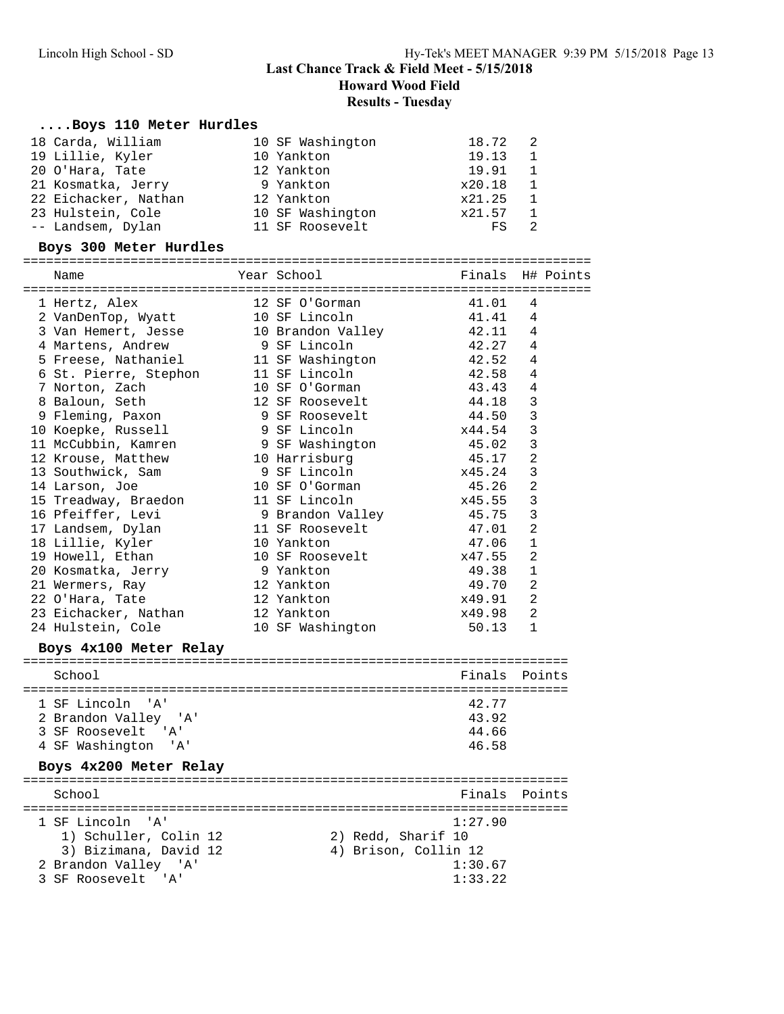**Howard Wood Field**

#### **Results - Tuesday**

#### **....Boys 110 Meter Hurdles**

| 18 Carda, William    | 10 SF Washington | 18.72  | 2              |
|----------------------|------------------|--------|----------------|
| 19 Lillie, Kyler     | 10 Yankton       | 19.13  |                |
| 20 O'Hara, Tate      | 12 Yankton       | 19.91  |                |
| 21 Kosmatka, Jerry   | 9 Yankton        | x20.18 | $\mathbf{1}$   |
| 22 Eichacker, Nathan | 12 Yankton       | x21.25 | $\overline{1}$ |
| 23 Hulstein, Cole    | 10 SF Washington | x21.57 | $\overline{1}$ |
| -- Landsem, Dylan    | 11 SF Roosevelt  | FS     |                |

#### **Boys 300 Meter Hurdles**

========================================================================== Name Year School Finals H# Points ========================================================================== 1 Hertz, Alex 12 SF O'Gorman 41.01 4 2 VanDenTop, Wyatt 10 SF Lincoln 41.41 4 3 Van Hemert, Jesse 10 Brandon Valley 42.11 4 4 Martens, Andrew 9 SF Lincoln 42.27 4 5 Freese, Nathaniel 11 SF Washington 42.52 4 6 St. Pierre, Stephon 11 SF Lincoln 42.58 4 7 Norton, Zach 10 SF O'Gorman 43.43 4 8 Baloun, Seth 12 SF Roosevelt 44.18 3 9 Fleming, Paxon 9 SF Roosevelt 44.50 3 10 Koepke, Russell 9 SF Lincoln x44.54 3 11 McCubbin, Kamren 9 SF Washington 45.02 3 12 Krouse, Matthew 10 Harrisburg 12 Krouse, 17 2 13 Southwick, Sam 9 SF Lincoln x45.24 3 14 Larson, Joe 10 SF O'Gorman 45.26 2 15 Treadway, Braedon 11 SF Lincoln x45.55 3 16 Pfeiffer, Levi 9 Brandon Valley 45.75 3 17 Landsem, Dylan 11 SF Roosevelt 47.01 2 18 Lillie, Kyler 10 Yankton 47.06 1 19 Howell, Ethan 10 SF Roosevelt x47.55 2 20 Kosmatka, Jerry 9 Yankton 49.38 1 21 Wermers, Ray 12 Yankton 49.70 2 22 O'Hara, Tate 12 Yankton x49.91 2 23 Eichacker, Nathan 12 Yankton x49.98 2 24 Hulstein, Cole **10 SF Washington** 50.13 1 **Boys 4x100 Meter Relay** ======================================================================= School **Finals** Points ======================================================================= 1 SF Lincoln 'A' 2 Brandon Valley 'A' 43.92 3 SF Roosevelt 'A' 44.66 4 SF Washington 'A' 46.58 **Boys 4x200 Meter Relay** ======================================================================= School **Finals Points** ======================================================================= 1 SF Lincoln 'A' 1:27.90 1) Schuller, Colin 12 2) Redd, Sharif 10 3) Bizimana, David 12 4) Brison, Collin 12 2 Brandon Valley 'A' 1:30.67

3 SF Roosevelt 'A' 1:33.22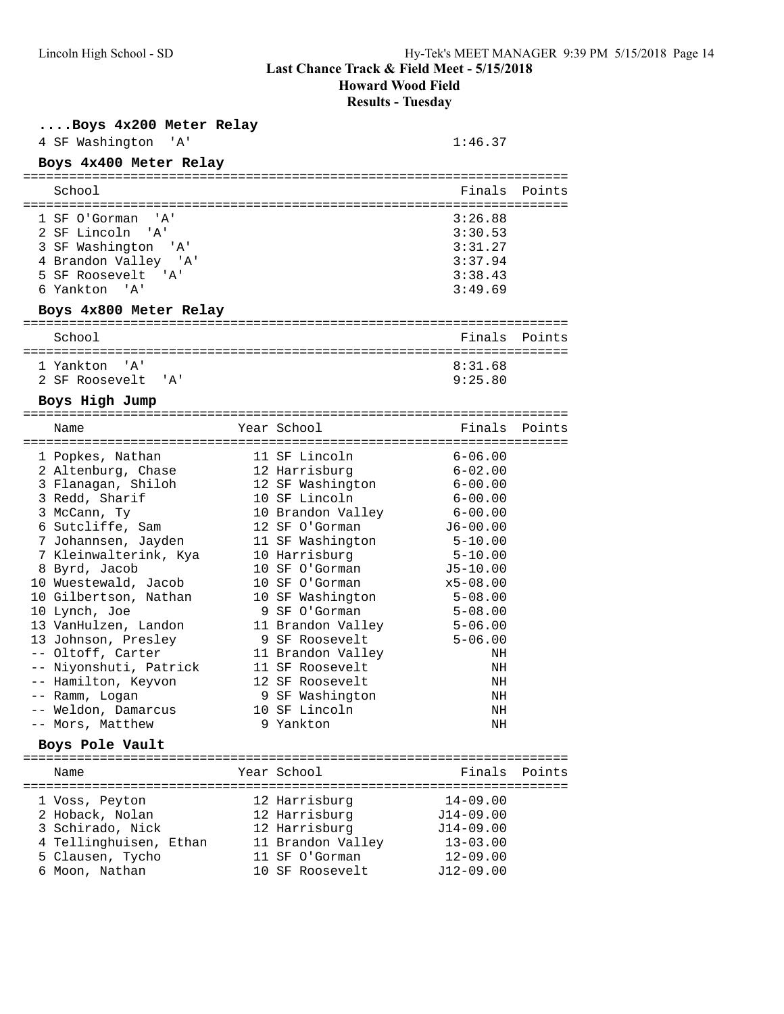**Howard Wood Field**

**Results - Tuesday**

## **....Boys 4x200 Meter Relay**

4 SF Washington 'A' 1:46.37

| Boys 4x400 Meter Relay                                                                                                                                                                                                                                                                                                                                                                                                                  |                                                                                                                                                                                                                                                                                                                                                                             |                                                                                                                                                                                                                                           |               |
|-----------------------------------------------------------------------------------------------------------------------------------------------------------------------------------------------------------------------------------------------------------------------------------------------------------------------------------------------------------------------------------------------------------------------------------------|-----------------------------------------------------------------------------------------------------------------------------------------------------------------------------------------------------------------------------------------------------------------------------------------------------------------------------------------------------------------------------|-------------------------------------------------------------------------------------------------------------------------------------------------------------------------------------------------------------------------------------------|---------------|
| School                                                                                                                                                                                                                                                                                                                                                                                                                                  |                                                                                                                                                                                                                                                                                                                                                                             | Finals                                                                                                                                                                                                                                    | Points        |
| 1 SF O'Gorman<br>' A '<br>2 SF Lincoln<br>'' A '<br>3 SF Washington<br>'' A '<br>4 Brandon Valley 'A'<br>5 SF Roosevelt 'A'<br>6 Yankton 'A'                                                                                                                                                                                                                                                                                            |                                                                                                                                                                                                                                                                                                                                                                             | 3:26.88<br>3:30.53<br>3:31.27<br>3:37.94<br>3:38.43<br>3:49.69                                                                                                                                                                            |               |
| Boys 4x800 Meter Relay                                                                                                                                                                                                                                                                                                                                                                                                                  |                                                                                                                                                                                                                                                                                                                                                                             |                                                                                                                                                                                                                                           |               |
| School                                                                                                                                                                                                                                                                                                                                                                                                                                  |                                                                                                                                                                                                                                                                                                                                                                             | Finals                                                                                                                                                                                                                                    | Points        |
| 1 Yankton<br>$^{\prime}$ A $^{\prime}$<br>2 SF Roosevelt<br>'' A '                                                                                                                                                                                                                                                                                                                                                                      |                                                                                                                                                                                                                                                                                                                                                                             | 8:31.68<br>9:25.80                                                                                                                                                                                                                        |               |
| Boys High Jump                                                                                                                                                                                                                                                                                                                                                                                                                          |                                                                                                                                                                                                                                                                                                                                                                             |                                                                                                                                                                                                                                           |               |
| Name                                                                                                                                                                                                                                                                                                                                                                                                                                    | Year School                                                                                                                                                                                                                                                                                                                                                                 |                                                                                                                                                                                                                                           | Finals Points |
| 1 Popkes, Nathan<br>2 Altenburg, Chase<br>3 Flanagan, Shiloh<br>3 Redd, Sharif<br>3 McCann, Ty<br>6 Sutcliffe, Sam<br>7 Johannsen, Jayden<br>7 Kleinwalterink, Kya<br>8 Byrd, Jacob<br>10 Wuestewald, Jacob<br>10 Gilbertson, Nathan<br>10 Lynch, Joe<br>13 VanHulzen, Landon<br>13 Johnson, Presley<br>-- Oltoff, Carter<br>-- Niyonshuti, Patrick<br>-- Hamilton, Keyvon<br>-- Ramm, Logan<br>-- Weldon, Damarcus<br>-- Mors, Matthew | 11 SF Lincoln<br>12 Harrisburg<br>12 SF Washington<br>10 SF Lincoln<br>10 Brandon Valley<br>12 SF O'Gorman<br>11 SF Washington<br>10 Harrisburg<br>10 SF O'Gorman<br>10 SF O'Gorman<br>10 SF Washington<br>9 SF O'Gorman<br>11 Brandon Valley<br>9 SF Roosevelt<br>11 Brandon Valley<br>11 SF Roosevelt<br>12 SF Roosevelt<br>9 SF Washington<br>10 SF Lincoln<br>9 Yankton | $6 - 06.00$<br>$6 - 02.00$<br>$6 - 00.00$<br>$6 - 00.00$<br>$6 - 00.00$<br>$J6-00.00$<br>5-10.00<br>5-10.00<br>$J5-10.00$<br>$x5 - 08.00$<br>$5 - 08.00$<br>$5 - 08.00$<br>$5 - 06.00$<br>$5 - 06.00$<br>ΝH<br>ΝH<br>ΝH<br>ΝH<br>ΝH<br>ΝH |               |
| Boys Pole Vault                                                                                                                                                                                                                                                                                                                                                                                                                         | Year School                                                                                                                                                                                                                                                                                                                                                                 | Finals                                                                                                                                                                                                                                    |               |
| Name                                                                                                                                                                                                                                                                                                                                                                                                                                    |                                                                                                                                                                                                                                                                                                                                                                             |                                                                                                                                                                                                                                           | Points        |
| l Voss, Peyton<br>2 Hoback, Nolan<br>3 Schirado, Nick<br>4 Tellinghuisen, Ethan<br>5 Clausen, Tycho<br>6 Moon, Nathan                                                                                                                                                                                                                                                                                                                   | 12 Harrisburg<br>12 Harrisburg<br>12 Harrisburg<br>11 Brandon Valley<br>11 SF O'Gorman<br>10 SF Roosevelt                                                                                                                                                                                                                                                                   | $14 - 09.00$<br>$J14-09.00$<br>$J14-09.00$<br>$13 - 03.00$<br>$12 - 09.00$<br>$J12-09.00$                                                                                                                                                 |               |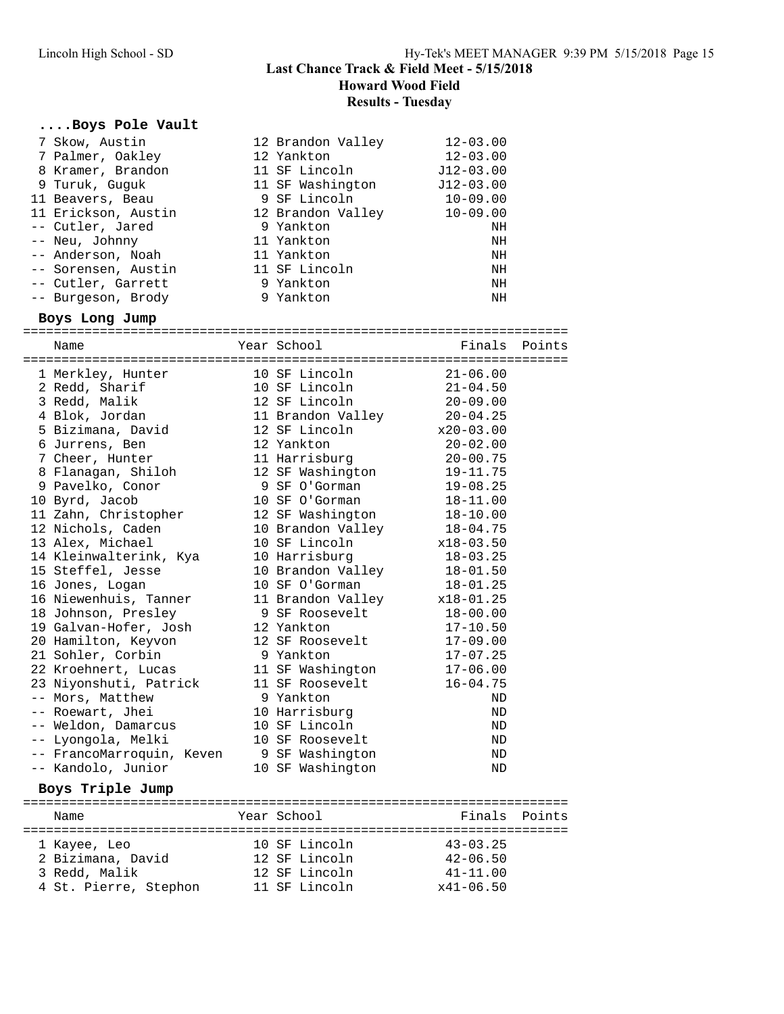# **....Boys Pole Vault**

| 7 Skow, Austin<br>7 Palmer, Oakley<br>8 Kramer, Brandon<br>9 Turuk, Guguk<br>11 Beavers, Beau<br>11 Erickson, Austin<br>-- Cutler, Jared<br>-- Neu, Johnny<br>-- Anderson, Noah<br>-- Sorensen, Austin<br>-- Cutler, Garrett<br>-- Burgeson, Brody<br>Boys Long Jump                                                                                                                                                                                                                                                                   |                                                                                                     |  | 12 Brandon Valley<br>12 Yankton<br>11 SF Lincoln<br>11 SF Washington<br>9 SF Lincoln<br>12 Brandon Valley<br>9 Yankton<br>11 Yankton<br>11 Yankton<br>11 SF Lincoln<br>9 Yankton<br>9 Yankton                                                                                                                                                                                                                                                                                                                                      | $12 - 03.00$<br>$12 - 03.00$<br>$J12-03.00$<br>$J12-03.00$<br>$10 - 09.00$<br>$10 - 09.00$<br>ΝH<br>ΝH<br>ΝH<br>ΝH<br>ΝH<br>ΝH                                                                                                                                                                                                                                                                  |               |  |  |  |  |
|----------------------------------------------------------------------------------------------------------------------------------------------------------------------------------------------------------------------------------------------------------------------------------------------------------------------------------------------------------------------------------------------------------------------------------------------------------------------------------------------------------------------------------------|-----------------------------------------------------------------------------------------------------|--|------------------------------------------------------------------------------------------------------------------------------------------------------------------------------------------------------------------------------------------------------------------------------------------------------------------------------------------------------------------------------------------------------------------------------------------------------------------------------------------------------------------------------------|-------------------------------------------------------------------------------------------------------------------------------------------------------------------------------------------------------------------------------------------------------------------------------------------------------------------------------------------------------------------------------------------------|---------------|--|--|--|--|
| Name                                                                                                                                                                                                                                                                                                                                                                                                                                                                                                                                   |                                                                                                     |  | Year School                                                                                                                                                                                                                                                                                                                                                                                                                                                                                                                        |                                                                                                                                                                                                                                                                                                                                                                                                 | Finals Points |  |  |  |  |
| 1 Merkley, Hunter<br>2 Redd, Sharif<br>3 Redd, Malik<br>4 Blok, Jordan<br>5 Bizimana, David<br>6 Jurrens, Ben<br>7 Cheer, Hunter<br>9 Pavelko, Conor<br>10 Byrd, Jacob<br>11 Zahn, Christopher<br>12 Nichols, Caden<br>13 Alex, Michael<br>15 Steffel, Jesse<br>16 Jones, Logan<br>16 Niewenhuis, Tanner<br>18 Johnson, Presley<br>19 Galvan-Hofer, Josh<br>20 Hamilton, Keyvon<br>21 Sohler, Corbin<br>22 Kroehnert, Lucas<br>-- Mors, Matthew<br>-- Roewart, Jhei<br>-- Weldon, Damarcus<br>-- Lyongola, Melki<br>-- Kandolo, Junior | 8 Flanagan, Shiloh<br>14 Kleinwalterink, Kya<br>23 Niyonshuti, Patrick<br>-- FrancoMarroquin, Keven |  | 10 SF Lincoln<br>10 SF Lincoln<br>12 SF Lincoln<br>11 Brandon Valley<br>12 SF Lincoln<br>12 Yankton<br>11 Harrisburg<br>12 SF Washington<br>9 SF O'Gorman<br>10 SF O'Gorman<br>12 SF Washington<br>10 Brandon Valley<br>10 SF Lincoln<br>10 Harrisburg<br>10 Brandon Valley<br>10 SF O'Gorman<br>11 Brandon Valley<br>9 SF Roosevelt<br>12 Yankton<br>12 SF Roosevelt<br>9 Yankton<br>11 SF Washington<br>11 SF Roosevelt<br>9 Yankton<br>10 Harrisburg<br>10 SF Lincoln<br>10 SF Roosevelt<br>9 SF Washington<br>10 SF Washington | $21 - 06.00$<br>$21 - 04.50$<br>20-09.00<br>$20 - 04.25$<br>$x20-03.00$<br>$20 - 02.00$<br>$20 - 00.75$<br>19-11.75<br>$19 - 08.25$<br>$18 - 11.00$<br>$18 - 10.00$<br>18-04.75<br>x18-03.50<br>$18 - 03.25$<br>$18 - 01.50$<br>$18 - 01.25$<br>$x18-01.25$<br>$18 - 00.00$<br>$17 - 10.50$<br>$17 - 09.00$<br>$17 - 07.25$<br>$17 - 06.00$<br>$16 - 04.75$<br>ND<br>ND<br>ΝD<br>ΝD<br>ND<br>ΝD |               |  |  |  |  |
|                                                                                                                                                                                                                                                                                                                                                                                                                                                                                                                                        | Boys Triple Jump                                                                                    |  |                                                                                                                                                                                                                                                                                                                                                                                                                                                                                                                                    |                                                                                                                                                                                                                                                                                                                                                                                                 |               |  |  |  |  |
| Name                                                                                                                                                                                                                                                                                                                                                                                                                                                                                                                                   |                                                                                                     |  | Year School                                                                                                                                                                                                                                                                                                                                                                                                                                                                                                                        | Finals                                                                                                                                                                                                                                                                                                                                                                                          | Points        |  |  |  |  |
| 1 Kayee, Leo<br>2 Bizimana, David<br>3 Redd, Malik                                                                                                                                                                                                                                                                                                                                                                                                                                                                                     | 4 St. Pierre, Stephon                                                                               |  | 10 SF Lincoln<br>12 SF Lincoln<br>12 SF Lincoln<br>11 SF Lincoln                                                                                                                                                                                                                                                                                                                                                                                                                                                                   | $43 - 03.25$<br>$42 - 06.50$<br>$41 - 11.00$<br>$x41 - 06.50$                                                                                                                                                                                                                                                                                                                                   |               |  |  |  |  |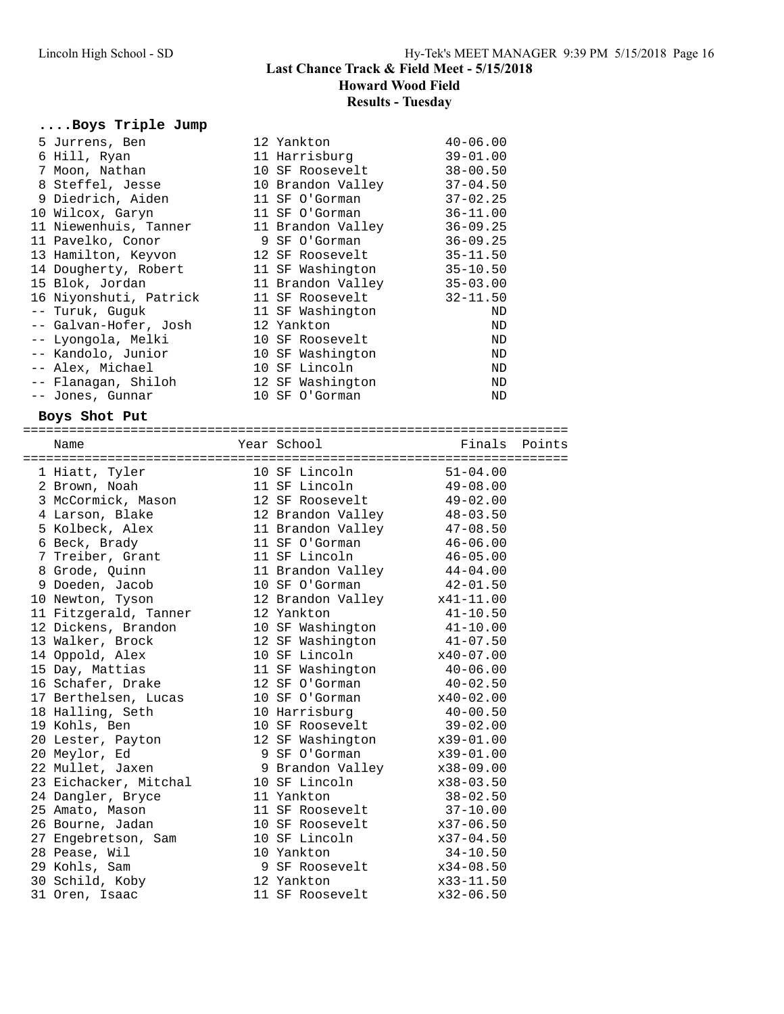# **....Boys Triple Jump**

| 5 Jurrens, Ben         | 12 Yankton        | $40 - 06.00$ |
|------------------------|-------------------|--------------|
| 6 Hill, Ryan           | 11 Harrisburg     | $39 - 01.00$ |
| 7 Moon, Nathan         | 10 SF Roosevelt   | $38 - 00.50$ |
| 8 Steffel, Jesse       | 10 Brandon Valley | $37 - 04.50$ |
| 9 Diedrich, Aiden      | 11 SF O'Gorman    | $37 - 02.25$ |
| 10 Wilcox, Garyn       | 11 SF O'Gorman    | $36 - 11.00$ |
| 11 Niewenhuis, Tanner  | 11 Brandon Valley | $36 - 09.25$ |
| 11 Pavelko, Conor      | 9 SF O'Gorman     | $36 - 09.25$ |
| 13 Hamilton, Keyvon    | 12 SF Roosevelt   | $35 - 11.50$ |
| 14 Dougherty, Robert   | 11 SF Washington  | $35 - 10.50$ |
| 15 Blok, Jordan        | 11 Brandon Valley | $35 - 03.00$ |
| 16 Niyonshuti, Patrick | 11 SF Roosevelt   | $32 - 11.50$ |
| -- Turuk, Guquk        | 11 SF Washington  | ND           |
| -- Galvan-Hofer, Josh  | 12 Yankton        | ND           |
| -- Lyongola, Melki     | 10 SF Roosevelt   | ND           |
| -- Kandolo, Junior     | 10 SF Washington  | ND           |
| -- Alex, Michael       | 10 SF Lincoln     | ND           |
| -- Flanagan, Shiloh    | 12 SF Washington  | ND           |
| -- Jones, Gunnar       | 10 SF O'Gorman    | ND           |

## **Boys Shot Put**

| Name                                                                       |                             |               |  |
|----------------------------------------------------------------------------|-----------------------------|---------------|--|
| 1 Hiatt, Tyler                                                             | 10 SF Lincoln               | $51 - 04.00$  |  |
| 2 Brown, Noah                                                              | 11 SF Lincoln               | $49 - 08.00$  |  |
| 3 McCormick, Mason                                                         | 12 SF Roosevelt             | 49-02.00      |  |
| 4 Larson, Blake 12 Brandon Valley                                          |                             | $48 - 03.50$  |  |
| 5 Kolbeck, Alex                     11 Brandon Valley             47-08.50 |                             |               |  |
| 6 Beck, Brady                                                              | 11 SF O'Gorman              | $46 - 06.00$  |  |
| 7 Treiber, Grant 11 SF Lincoln                                             |                             | $46 - 05.00$  |  |
| 8 Grode, Quinn                                                             | 11 Brandon Valley 44-04.00  |               |  |
| 9 Doeden, Jacob 10 SF O'Gorman                                             |                             | $42 - 01.50$  |  |
| 10 Newton, Tyson                                                           | 12 Brandon Valley x41-11.00 |               |  |
| 11 Fitzgerald, Tanner 12 Yankton                                           |                             | $41 - 10.50$  |  |
| 12 Dickens, Brandon                                                        | 10 SF Washington            | $41 - 10.00$  |  |
| 13 Walker, Brock                                                           | 12 SF Washington            | $41 - 07.50$  |  |
| 14 Oppold, Alex                                                            | 10 SF Lincoln               | $x40-07.00$   |  |
| 15 Day, Mattias                                                            | 11 SF Washington 40-06.00   |               |  |
| 16 Schafer, Drake 12 SF O'Gorman                                           |                             | $40 - 02.50$  |  |
| 17 Berthelsen, Lucas                                                       | 10 SF O'Gorman              | $x40-02.00$   |  |
| 18 Halling, Seth 10 Harrisburg                                             |                             | $40 - 00.50$  |  |
| 19 Kohls, Ben                                                              | 10 SF Roosevelt 39-02.00    |               |  |
| 20 Lester, Payton 12 SF Washington x39-01.00                               |                             |               |  |
| 20 Meylor, Ed                                                              | 9 SF 0'Gorman x39-01.00     |               |  |
| 22 Mullet, Jaxen                                                           | 9 Brandon Valley x38-09.00  |               |  |
| 23 Eichacker, Mitchal 10 SF Lincoln                                        |                             | x38-03.50     |  |
| 24 Dangler, Bryce                                                          | 11 Yankton                  | $38 - 02.50$  |  |
| 25 Amato, Mason                                                            | 11 SF Roosevelt 37-10.00    |               |  |
| 26 Bourne, Jadan                                                           | 10 SF Roosevelt x37-06.50   |               |  |
| 27 Engebretson, Sam 10 SF Lincoln                                          |                             | $x37 - 04.50$ |  |
| 28 Pease, Wil                                                              | 10 Yankton                  | $34 - 10.50$  |  |
| 29 Kohls, Sam                                                              | 9 SF Roosevelt x34-08.50    |               |  |
| 30 Schild, Koby                                                            | 12 Yankton                  | $x33-11.50$   |  |
| 31 Oren, Isaac                                                             | 11 SF Roosevelt             | $x32-06.50$   |  |